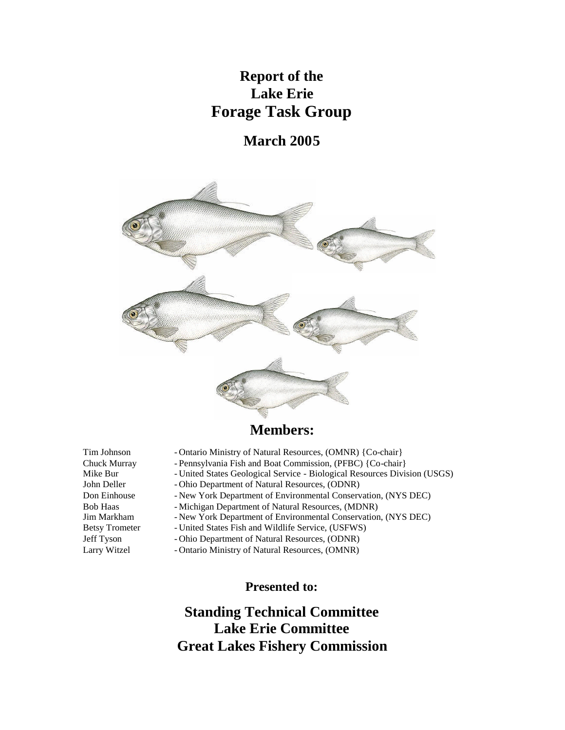# **Report of the Lake Erie Forage Task Group**

# **March 2005**



# **Members:**

- Tim Johnson Ontario Ministry of Natural Resources, (OMNR) {Co-chair}
- Chuck Murray Pennsylvania Fish and Boat Commission, (PFBC) {Co-chair}<br>Mike Bur United States Geological Service Biological Resources Divi
	- United States Geological Service Biological Resources Division (USGS)
- John Deller Ohio Department of Natural Resources, (ODNR)
- Don Einhouse New York Department of Environmental Conservation, (NYS DEC)
- Bob Haas Michigan Department of Natural Resources, (MDNR)
- Jim Markham New York Department of Environmental Conservation, (NYS DEC)
- Betsy Trometer United States Fish and Wildlife Service, (USFWS)
- Jeff Tyson Ohio Department of Natural Resources, (ODNR)
- Larry Witzel Ontario Ministry of Natural Resources, (OMNR)

**Presented to:**

# **Standing Technical Committee Lake Erie Committee Great Lakes Fishery Commission**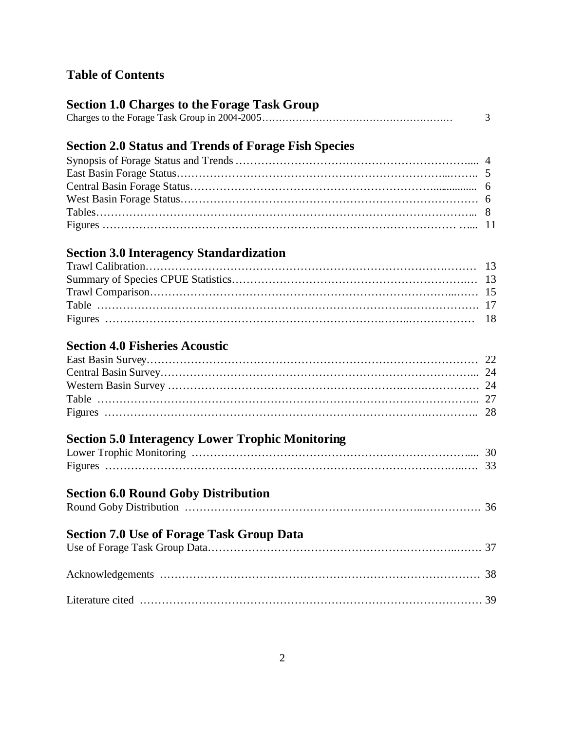# **Table of Contents**

# **Section 1.0 Charges to the Forage Task Group**

|--|--|

# **Section 2.0 Status and Trends of Forage Fish Species**

# **Section 3.0 Interagency Standardization**

# **Section 4.0 Fisheries Acoustic**

# **Section 5.0 Interagency Lower Trophic Monitoring**

# **Section 6.0 Round Goby Distribution**

| <b>Section 7.0 Use of Forage Task Group Data</b> |  |
|--------------------------------------------------|--|
|                                                  |  |
|                                                  |  |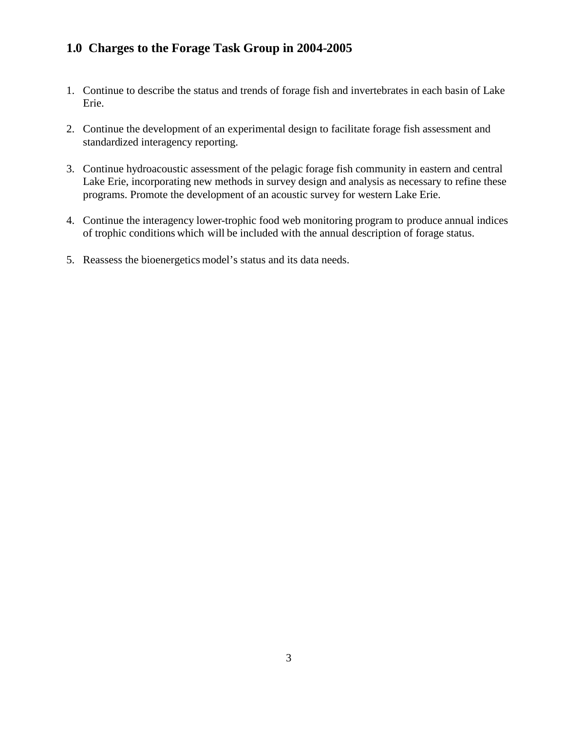# **1.0 Charges to the Forage Task Group in 2004-2005**

- 1. Continue to describe the status and trends of forage fish and invertebrates in each basin of Lake Erie.
- 2. Continue the development of an experimental design to facilitate forage fish assessment and standardized interagency reporting.
- 3. Continue hydroacoustic assessment of the pelagic forage fish community in eastern and central Lake Erie, incorporating new methods in survey design and analysis as necessary to refine these programs. Promote the development of an acoustic survey for western Lake Erie.
- 4. Continue the interagency lower-trophic food web monitoring program to produce annual indices of trophic conditions which will be included with the annual description of forage status.
- 5. Reassess the bioenergetics model's status and its data needs.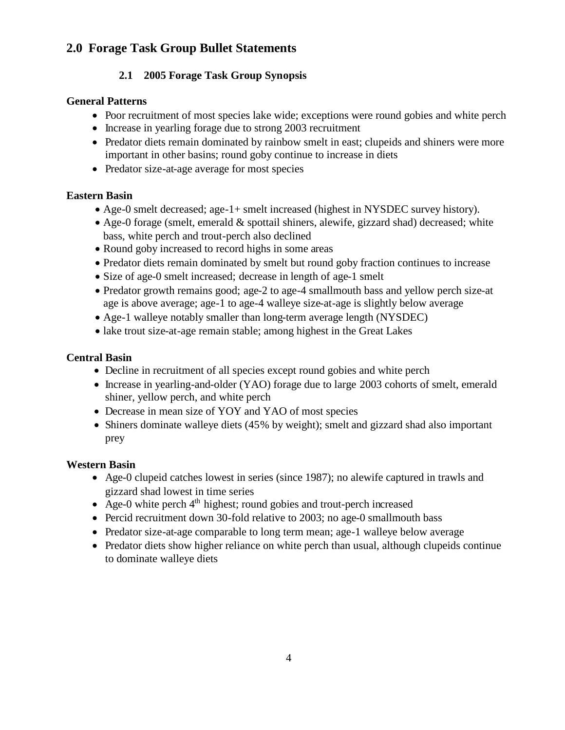# **2.0 Forage Task Group Bullet Statements**

## **2.1 2005 Forage Task Group Synopsis**

## **General Patterns**

- Poor recruitment of most species lake wide; exceptions were round gobies and white perch
- Increase in yearling forage due to strong 2003 recruitment
- Predator diets remain dominated by rainbow smelt in east; clupeids and shiners were more important in other basins; round goby continue to increase in diets
- Predator size-at-age average for most species

## **Eastern Basin**

- Age-0 smelt decreased; age-1+ smelt increased (highest in NYSDEC survey history).
- Age-0 forage (smelt, emerald & spottail shiners, alewife, gizzard shad) decreased; white bass, white perch and trout-perch also declined
- Round goby increased to record highs in some areas
- Predator diets remain dominated by smelt but round goby fraction continues to increase
- Size of age-0 smelt increased; decrease in length of age-1 smelt
- Predator growth remains good; age-2 to age-4 smallmouth bass and yellow perch size-at age is above average; age-1 to age-4 walleye size-at-age is slightly below average
- Age-1 walleye notably smaller than long-term average length (NYSDEC)
- lake trout size-at-age remain stable; among highest in the Great Lakes

## **Central Basin**

- Decline in recruitment of all species except round gobies and white perch
- Increase in yearling-and-older (YAO) forage due to large 2003 cohorts of smelt, emerald shiner, yellow perch, and white perch
- Decrease in mean size of YOY and YAO of most species
- Shiners dominate walleye diets (45% by weight); smelt and gizzard shad also important prey

## **Western Basin**

- Age-0 clupeid catches lowest in series (since 1987); no alewife captured in trawls and gizzard shad lowest in time series
- Age-0 white perch  $4<sup>th</sup>$  highest; round gobies and trout-perch increased
- Percid recruitment down 30-fold relative to 2003; no age-0 smallmouth bass
- Predator size-at-age comparable to long term mean; age-1 walleye below average
- Predator diets show higher reliance on white perch than usual, although clupeids continue to dominate walleye diets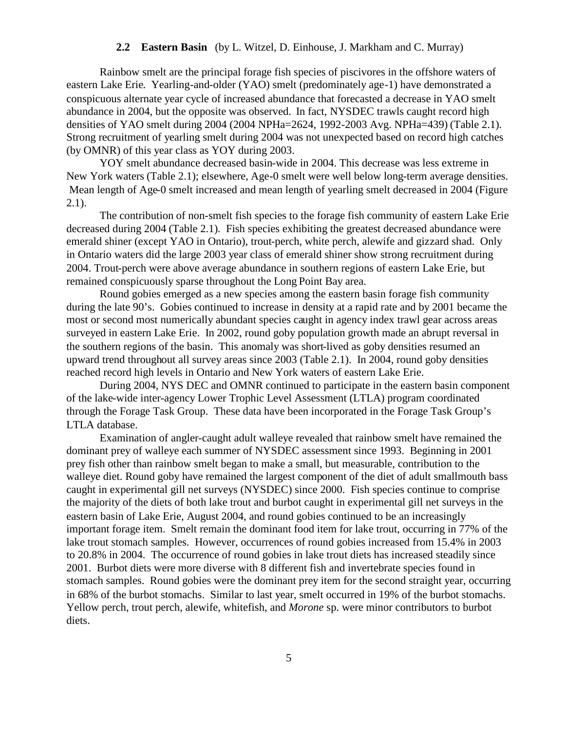## **2.2 Eastern Basin** (by L. Witzel, D. Einhouse, J. Markham and C. Murray)

Rainbow smelt are the principal forage fish species of piscivores in the offshore waters of eastern Lake Erie. Yearling-and-older (YAO) smelt (predominately age-1) have demonstrated a conspicuous alternate year cycle of increased abundance that forecasted a decrease in YAO smelt abundance in 2004, but the opposite was observed. In fact, NYSDEC trawls caught record high densities of YAO smelt during 2004 (2004 NPHa=2624, 1992-2003 Avg. NPHa=439) (Table 2.1). Strong recruitment of yearling smelt during 2004 was not unexpected based on record high catches (by OMNR) of this year class as YOY during 2003.

YOY smelt abundance decreased basin-wide in 2004. This decrease was less extreme in New York waters (Table 2.1); elsewhere, Age-0 smelt were well below long-term average densities. Mean length of Age-0 smelt increased and mean length of yearling smelt decreased in 2004 (Figure 2.1).

The contribution of non-smelt fish species to the forage fish community of eastern Lake Erie decreased during 2004 (Table 2.1). Fish species exhibiting the greatest decreased abundance were emerald shiner (except YAO in Ontario), trout-perch, white perch, alewife and gizzard shad. Only in Ontario waters did the large 2003 year class of emerald shiner show strong recruitment during 2004. Trout-perch were above average abundance in southern regions of eastern Lake Erie, but remained conspicuously sparse throughout the Long Point Bay area.

Round gobies emerged as a new species among the eastern basin forage fish community during the late 90's. Gobies continued to increase in density at a rapid rate and by 2001 became the most or second most numerically abundant species caught in agency index trawl gear across areas surveyed in eastern Lake Erie. In 2002, round goby population growth made an abrupt reversal in the southern regions of the basin. This anomaly was short-lived as goby densities resumed an upward trend throughout all survey areas since 2003 (Table 2.1). In 2004, round goby densities reached record high levels in Ontario and New York waters of eastern Lake Erie.

During 2004, NYS DEC and OMNR continued to participate in the eastern basin component of the lake-wide inter-agency Lower Trophic Level Assessment (LTLA) program coordinated through the Forage Task Group. These data have been incorporated in the Forage Task Group's LTLA database.

Examination of angler-caught adult walleye revealed that rainbow smelt have remained the dominant prey of walleye each summer of NYSDEC assessment since 1993. Beginning in 2001 prey fish other than rainbow smelt began to make a small, but measurable, contribution to the walleye diet. Round goby have remained the largest component of the diet of adult smallmouth bass caught in experimental gill net surveys (NYSDEC) since 2000. Fish species continue to comprise the majority of the diets of both lake trout and burbot caught in experimental gill net surveys in the eastern basin of Lake Erie, August 2004, and round gobies continued to be an increasingly important forage item. Smelt remain the dominant food item for lake trout, occurring in 77% of the lake trout stomach samples. However, occurrences of round gobies increased from 15.4% in 2003 to 20.8% in 2004. The occurrence of round gobies in lake trout diets has increased steadily since 2001. Burbot diets were more diverse with 8 different fish and invertebrate species found in stomach samples. Round gobies were the dominant prey item for the second straight year, occurring in 68% of the burbot stomachs. Similar to last year, smelt occurred in 19% of the burbot stomachs. Yellow perch, trout perch, alewife, whitefish, and *Morone* sp. were minor contributors to burbot diets.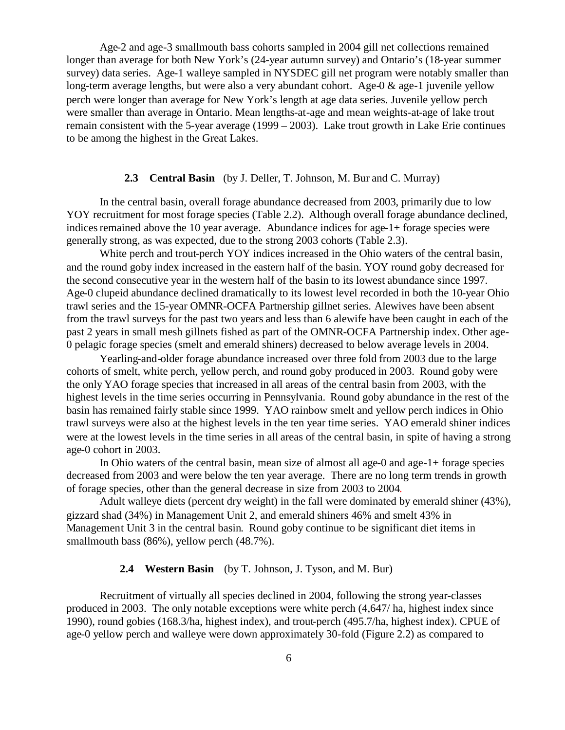Age-2 and age-3 smallmouth bass cohorts sampled in 2004 gill net collections remained longer than average for both New York's (24-year autumn survey) and Ontario's (18-year summer survey) data series. Age-1 walleye sampled in NYSDEC gill net program were notably smaller than long-term average lengths, but were also a very abundant cohort. Age-0 & age-1 juvenile yellow perch were longer than average for New York's length at age data series. Juvenile yellow perch were smaller than average in Ontario. Mean lengths-at-age and mean weights-at-age of lake trout remain consistent with the 5-year average (1999 – 2003). Lake trout growth in Lake Erie continues to be among the highest in the Great Lakes.

## **2.3 Central Basin** (by J. Deller, T. Johnson, M. Bur and C. Murray)

In the central basin, overall forage abundance decreased from 2003, primarily due to low YOY recruitment for most forage species (Table 2.2). Although overall forage abundance declined, indices remained above the 10 year average. Abundance indices for age-1+ forage species were generally strong, as was expected, due to the strong 2003 cohorts (Table 2.3).

White perch and trout-perch YOY indices increased in the Ohio waters of the central basin, and the round goby index increased in the eastern half of the basin. YOY round goby decreased for the second consecutive year in the western half of the basin to its lowest abundance since 1997. Age-0 clupeid abundance declined dramatically to its lowest level recorded in both the 10-year Ohio trawl series and the 15-year OMNR-OCFA Partnership gillnet series. Alewives have been absent from the trawl surveys for the past two years and less than 6 alewife have been caught in each of the past 2 years in small mesh gillnets fished as part of the OMNR-OCFA Partnership index. Other age-0 pelagic forage species (smelt and emerald shiners) decreased to below average levels in 2004.

Yearling-and-older forage abundance increased over three fold from 2003 due to the large cohorts of smelt, white perch, yellow perch, and round goby produced in 2003. Round goby were the only YAO forage species that increased in all areas of the central basin from 2003, with the highest levels in the time series occurring in Pennsylvania. Round goby abundance in the rest of the basin has remained fairly stable since 1999. YAO rainbow smelt and yellow perch indices in Ohio trawl surveys were also at the highest levels in the ten year time series. YAO emerald shiner indices were at the lowest levels in the time series in all areas of the central basin, in spite of having a strong age-0 cohort in 2003.

In Ohio waters of the central basin, mean size of almost all age-0 and age-1+ forage species decreased from 2003 and were below the ten year average. There are no long term trends in growth of forage species, other than the general decrease in size from 2003 to 2004.

Adult walleye diets (percent dry weight) in the fall were dominated by emerald shiner (43%), gizzard shad (34%) in Management Unit 2, and emerald shiners 46% and smelt 43% in Management Unit 3 in the central basin. Round goby continue to be significant diet items in smallmouth bass (86%), yellow perch (48.7%).

## **2.4 Western Basin** (by T. Johnson, J. Tyson, and M. Bur)

Recruitment of virtually all species declined in 2004, following the strong year-classes produced in 2003. The only notable exceptions were white perch (4,647/ ha, highest index since 1990), round gobies (168.3/ha, highest index), and trout-perch (495.7/ha, highest index). CPUE of age-0 yellow perch and walleye were down approximately 30-fold (Figure 2.2) as compared to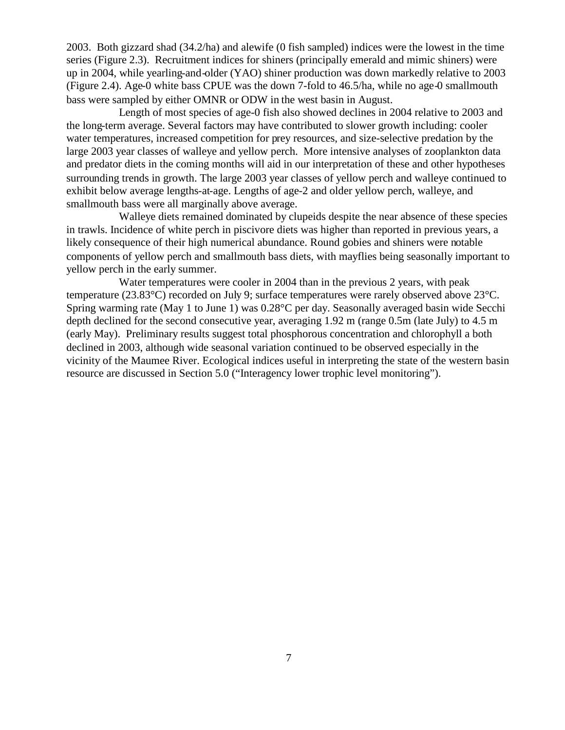2003. Both gizzard shad (34.2/ha) and alewife (0 fish sampled) indices were the lowest in the time series (Figure 2.3). Recruitment indices for shiners (principally emerald and mimic shiners) were up in 2004, while yearling-and-older (YAO) shiner production was down markedly relative to 2003 (Figure 2.4). Age-0 white bass CPUE was the down 7-fold to 46.5/ha, while no age-0 smallmouth bass were sampled by either OMNR or ODW in the west basin in August.

Length of most species of age-0 fish also showed declines in 2004 relative to 2003 and the long-term average. Several factors may have contributed to slower growth including: cooler water temperatures, increased competition for prey resources, and size-selective predation by the large 2003 year classes of walleye and yellow perch. More intensive analyses of zooplankton data and predator diets in the coming months will aid in our interpretation of these and other hypotheses surrounding trends in growth. The large 2003 year classes of yellow perch and walleye continued to exhibit below average lengths-at-age. Lengths of age-2 and older yellow perch, walleye, and smallmouth bass were all marginally above average.

Walleye diets remained dominated by clupeids despite the near absence of these species in trawls. Incidence of white perch in piscivore diets was higher than reported in previous years, a likely consequence of their high numerical abundance. Round gobies and shiners were notable components of yellow perch and smallmouth bass diets, with mayflies being seasonally important to yellow perch in the early summer.

Water temperatures were cooler in 2004 than in the previous 2 years, with peak temperature (23.83°C) recorded on July 9; surface temperatures were rarely observed above 23°C. Spring warming rate (May 1 to June 1) was 0.28°C per day. Seasonally averaged basin wide Secchi depth declined for the second consecutive year, averaging 1.92 m (range 0.5m (late July) to 4.5 m (early May). Preliminary results suggest total phosphorous concentration and chlorophyll a both declined in 2003, although wide seasonal variation continued to be observed especially in the vicinity of the Maumee River. Ecological indices useful in interpreting the state of the western basin resource are discussed in Section 5.0 ("Interagency lower trophic level monitoring").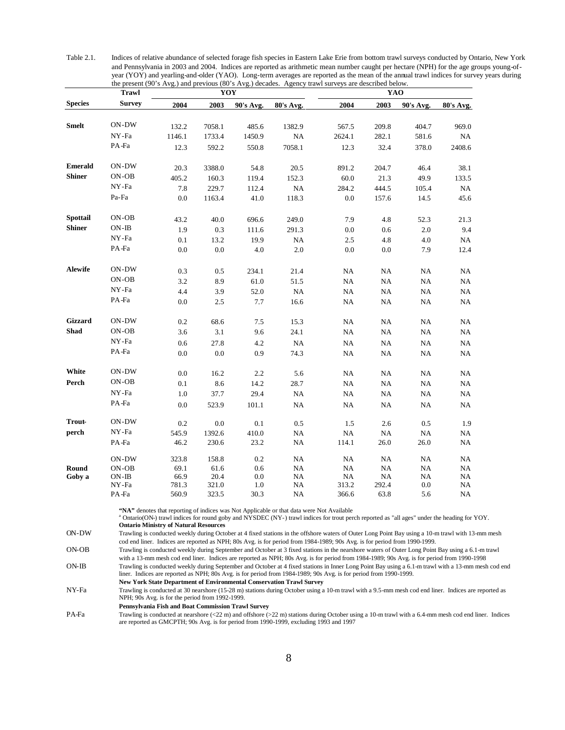Table 2.1. Indices of relative abundance of selected forage fish species in Eastern Lake Erie from bottom trawl surveys conducted by Ontario, New York and Pennsylvania in 2003 and 2004. Indices are reported as arithmetic mean number caught per hectare (NPH) for the age groups young-ofyear (YOY) and yearling-and-older (YAO). Long-term averages are reported as the mean of the annual trawl indices for survey years during the present (90's Avg.) and previous (80's Avg.) decades. Agency trawl surveys are described below.

|                | <b>Trawl</b>  |        | YOY     |               |           | YAO         |             |             |                   |  |
|----------------|---------------|--------|---------|---------------|-----------|-------------|-------------|-------------|-------------------|--|
| <b>Species</b> | <b>Survey</b> | 2004   | 2003    | 90's Avg.     | 80's Avg. | 2004        | 2003        | 90's Avg.   | 80's Avg.         |  |
|                |               |        |         |               |           |             |             |             |                   |  |
| <b>Smelt</b>   | ON-DW         | 132.2  | 7058.1  | 485.6         | 1382.9    | 567.5       | 209.8       | 404.7       | 969.0             |  |
|                | NY-Fa         | 1146.1 | 1733.4  | 1450.9        | NA        | 2624.1      | 282.1       | 581.6       | NA                |  |
|                | PA-Fa         | 12.3   | 592.2   | 550.8         | 7058.1    | 12.3        | 32.4        | 378.0       | 2408.6            |  |
| <b>Emerald</b> | ON-DW         | 20.3   | 3388.0  | 54.8          | 20.5      | 891.2       | 204.7       | 46.4        | 38.1              |  |
| <b>Shiner</b>  | ON-OB         | 405.2  | 160.3   | 119.4         | 152.3     | 60.0        | 21.3        | 49.9        | 133.5             |  |
|                | NY-Fa         | 7.8    | 229.7   | 112.4         | NA        | 284.2       | 444.5       | 105.4       | $_{\rm NA}$       |  |
|                | Pa-Fa         | 0.0    | 1163.4  | 41.0          | 118.3     | 0.0         | 157.6       | 14.5        | 45.6              |  |
| Spottail       | ON-OB         | 43.2   | 40.0    | 696.6         | 249.0     | 7.9         | 4.8         | 52.3        | 21.3              |  |
| <b>Shiner</b>  | $ON-IB$       | 1.9    | 0.3     | 111.6         | 291.3     | 0.0         | 0.6         | 2.0         | 9.4               |  |
|                | NY-Fa         | 0.1    | 13.2    | 19.9          | NA        | 2.5         | 4.8         | 4.0         | NA                |  |
|                | PA-Fa         | 0.0    | 0.0     | 4.0           | 2.0       | 0.0         | 0.0         | 7.9         | 12.4              |  |
|                |               |        |         |               |           |             |             |             |                   |  |
| Alewife        | $ON-DW$       | 0.3    | 0.5     | 234.1         | 21.4      | NA          | NA          | NA          | NA                |  |
|                | ON-OB         | 3.2    | 8.9     | 61.0          | 51.5      | NA          | NA          | <b>NA</b>   | NA                |  |
|                | NY-Fa         | 4.4    | 3.9     | 52.0          | <b>NA</b> | $\rm NA$    | NA          | <b>NA</b>   | $_{\rm NA}$       |  |
|                | PA-Fa         | 0.0    | 2.5     | 7.7           | 16.6      | $_{\rm NA}$ | $_{\rm NA}$ | $_{\rm NA}$ | NA                |  |
| Gizzard        | ON-DW         | 0.2    | 68.6    | 7.5           | 15.3      | NA          | NA          | NA          | NA                |  |
| Shad           | ON-OB         | 3.6    | 3.1     | 9.6           | 24.1      | NA          | NA          | NA          | NA                |  |
|                | NY-Fa         | 0.6    | 27.8    | 4.2           | $\rm NA$  | $_{\rm NA}$ | NA          | $\rm NA$    | $_{\rm NA}$       |  |
|                | PA-Fa         | 0.0    | $0.0\,$ | 0.9           | 74.3      | NA          | NA          | NA          | NA                |  |
| White          | ON-DW         | 0.0    | 16.2    | 2.2           | 5.6       | NA          | NA          | NA          | NA                |  |
| Perch          | ON-OB         | 0.1    | 8.6     | 14.2          | 28.7      | NA          | $_{\rm NA}$ | $_{\rm NA}$ | NA                |  |
|                | NY-Fa         | 1.0    | 37.7    | 29.4          | NA        | NA          | NA          | NA          | NA                |  |
|                | PA-Fa         | 0.0    | 523.9   | 101.1         | NA        | NA          | NA          | NA          | NA                |  |
| <b>Trout-</b>  | ON-DW         | 0.2    | 0.0     | 0.1           | 0.5       | 1.5         | 2.6         | 0.5         | 1.9               |  |
| perch          | NY-Fa         | 545.9  | 1392.6  |               | NA        | $_{\rm NA}$ | NA          | NA          |                   |  |
|                | PA-Fa         | 46.2   | 230.6   | 410.0<br>23.2 | <b>NA</b> | 114.1       | 26.0        | 26.0        | $_{\rm NA}$<br>NA |  |
|                | ON-DW         | 323.8  | 158.8   | 0.2           | NA        | NA          | NA          | NA          | NA                |  |
| Round          | ON-OB         | 69.1   | 61.6    | 0.6           | NA        | NA          | NA          | NA          | NA                |  |
| Goby a         | $ON-IB$       | 66.9   | 20.4    | 0.0           | NA        | $_{\rm NA}$ | NA          | NA          | NA                |  |
|                | NY-Fa         | 781.3  | 321.0   | 1.0           | NA        | 313.2       | 292.4       | 0.0         | NA                |  |
|                | PA-Fa         | 560.9  | 323.5   | 30.3          | NA        | 366.6       | 63.8        | 5.6         | NA                |  |

**"NA"** denotes that reporting of indices was Not Applicable or that data were Not Available

<sup>a</sup> Ontario(ON-) trawl indices for round goby and NYSDEC (NY-) trawl indices for trout perch reported as "all ages" under the heading for YOY. **Ontario Ministry of Natural Resources**

ON-DW Trawling is conducted weekly during October at 4 fixed stations in the offshore waters of Outer Long Point Bay using a 10-m trawl with 13-mm mesh cod end liner. Indices are reported as NPH; 80s Avg. is for period from 1984-1989; 90s Avg. is for period from 1990-1999.

ON-OB Trawling is conducted weekly during September and October at 3 fixed stations in the nearshore waters of Outer Long Point Bay using a 6.1-m trawl with a 13-mm mesh cod end liner. Indices are reported as NPH; 80s Avg. is for period from 1984-1989; 90s Avg. is for period from 1990-1998 ON-IB Trawling is conducted weekly during September and October at 4 fixed stations in Inner Long Point Bay using a 6.1-m trawl with a 13-mm mesh cod end liner. Indices are reported as NPH; 80s Avg. is for period from 1984-1989; 90s Avg. is for period from 1990-1999.

**New York State Department of Environmental Conservation Trawl Survey**

NY-Fa Trawling is conducted at 30 nearshore (15-28 m) stations during October using a 10-m trawl with a 9.5-mm mesh cod end liner. Indices are reported as NPH; 90s Avg. is for the period from 1992-1999.

**Pennsylvania Fish and Boat Commission Trawl Survey**

PA-Fa Trawling is conducted at nearshore (<22 m) and offshore (>22 m) stations during October using a 10-m trawl with a 6.4-mm mesh cod end liner. Indices are reported as GMCPTH; 90s Avg. is for period from 1990-1999, excluding 1993 and 1997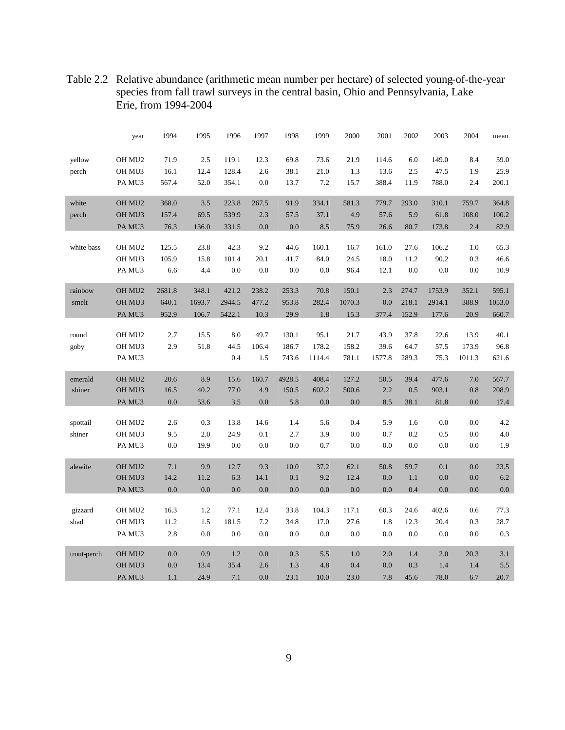|             | year               | 1994   | 1995   | 1996   | 1997  | 1998   | 1999   | 2000   | 2001   | 2002  | 2003   | 2004   | mean   |
|-------------|--------------------|--------|--------|--------|-------|--------|--------|--------|--------|-------|--------|--------|--------|
| yellow      | OH MU2             | 71.9   | 2.5    | 119.1  | 12.3  | 69.8   | 73.6   | 21.9   | 114.6  | 6.0   | 149.0  | 8.4    | 59.0   |
| perch       | OH MU3             | 16.1   | 12.4   | 128.4  | 2.6   | 38.1   | 21.0   | 1.3    | 13.6   | 2.5   | 47.5   | 1.9    | 25.9   |
|             | PA MU3             | 567.4  | 52.0   | 354.1  | 0.0   | 13.7   | 7.2    | 15.7   | 388.4  | 11.9  | 788.0  | 2.4    | 200.1  |
|             |                    |        |        |        |       |        |        |        |        |       |        |        |        |
| white       | OH MU2             | 368.0  | 3.5    | 223.8  | 267.5 | 91.9   | 334.1  | 581.3  | 779.7  | 293.0 | 310.1  | 759.7  | 364.8  |
| perch       | OH MU3             | 157.4  | 69.5   | 539.9  | 2.3   | 57.5   | 37.1   | 4.9    | 57.6   | 5.9   | 61.8   | 108.0  | 100.2  |
|             | PA MU3             | 76.3   | 136.0  | 331.5  | 0.0   | 0.0    | 8.5    | 75.9   | 26.6   | 80.7  | 173.8  | 2.4    | 82.9   |
|             |                    |        |        |        |       |        |        |        |        |       |        |        |        |
| white bass  | OH MU2             | 125.5  | 23.8   | 42.3   | 9.2   | 44.6   | 160.1  | 16.7   | 161.0  | 27.6  | 106.2  | 1.0    | 65.3   |
|             | OH MU3             | 105.9  | 15.8   | 101.4  | 20.1  | 41.7   | 84.0   | 24.5   | 18.0   | 11.2  | 90.2   | 0.3    | 46.6   |
|             | PA MU3             | 6.6    | 4.4    | 0.0    | 0.0   | 0.0    | 0.0    | 96.4   | 12.1   | 0.0   | 0.0    | 0.0    | 10.9   |
| rainbow     | OH MU2             | 2681.8 | 348.1  | 421.2  | 238.2 | 253.3  | 70.8   | 150.1  | 2.3    | 274.7 | 1753.9 | 352.1  | 595.1  |
| smelt       | OH MU3             | 640.1  | 1693.7 | 2944.5 | 477.2 | 953.8  | 282.4  | 1070.3 | 0.0    | 218.1 | 2914.1 | 388.9  | 1053.0 |
|             | PA MU3             | 952.9  | 106.7  | 5422.1 | 10.3  | 29.9   | 1.8    | 15.3   | 377.4  | 152.9 | 177.6  | 20.9   | 660.7  |
|             |                    |        |        |        |       |        |        |        |        |       |        |        |        |
| round       | OH MU2             | 2.7    | 15.5   | 8.0    | 49.7  | 130.1  | 95.1   | 21.7   | 43.9   | 37.8  | 22.6   | 13.9   | 40.1   |
| goby        | OH MU3             | 2.9    | 51.8   | 44.5   | 106.4 | 186.7  | 178.2  | 158.2  | 39.6   | 64.7  | 57.5   | 173.9  | 96.8   |
|             | PA MU3             |        |        | 0.4    | 1.5   | 743.6  | 1114.4 | 781.1  | 1577.8 | 289.3 | 75.3   | 1011.3 | 621.6  |
|             |                    |        |        |        |       |        |        |        |        |       |        |        |        |
| emerald     | OH MU2             | 20.6   | 8.9    | 15.6   | 160.7 | 4928.5 | 408.4  | 127.2  | 50.5   | 39.4  | 477.6  | 7.0    | 567.7  |
| shiner      | OH MU3             | 16.5   | 40.2   | 77.0   | 4.9   | 150.5  | 602.2  | 500.6  | 2.2    | 0.5   | 903.1  | 0.8    | 208.9  |
|             | PA MU3             | 0.0    | 53.6   | 3.5    | 0.0   | 5.8    | 0.0    | 0.0    | 8.5    | 38.1  | 81.8   | 0.0    | 17.4   |
| spottail    | OH MU2             | 2.6    | 0.3    | 13.8   | 14.6  | 1.4    | 5.6    | 0.4    | 5.9    | 1.6   | 0.0    | 0.0    | 4.2    |
| shiner      | OH MU3             | 9.5    | 2.0    | 24.9   | 0.1   | 2.7    | 3.9    | 0.0    | 0.7    | 0.2   | 0.5    | 0.0    | 4.0    |
|             | PA MU3             | 0.0    | 19.9   | 0.0    | 0.0   | 0.0    | 0.7    | 0.0    | 0.0    | 0.0   | 0.0    | 0.0    | 1.9    |
|             |                    |        |        |        |       |        |        |        |        |       |        |        |        |
| alewife     | OH MU2             | 7.1    | 9.9    | 12.7   | 9.3   | 10.0   | 37.2   | 62.1   | 50.8   | 59.7  | 0.1    | 0.0    | 23.5   |
|             | OH MU3             | 14.2   | 11.2   | 6.3    | 14.1  | 0.1    | 9.2    | 12.4   | 0.0    | 1.1   | 0.0    | 0.0    | 6.2    |
|             | PA MU3             | 0.0    | 0.0    | 0.0    | 0.0   | 0.0    | 0.0    | 0.0    | 0.0    | 0.4   | 0.0    | 0.0    | 0.0    |
|             |                    |        |        |        |       |        |        |        |        |       |        |        |        |
| gizzard     | OH MU <sub>2</sub> | 16.3   | 1.2    | 77.1   | 12.4  | 33.8   | 104.3  | 117.1  | 60.3   | 24.6  | 402.6  | 0.6    | 77.3   |
| shad        | OH MU3             | 11.2   | 1.5    | 181.5  | 7.2   | 34.8   | 17.0   | 27.6   | 1.8    | 12.3  | 20.4   | 0.3    | 28.7   |
|             | PA MU3             | 2.8    | 0.0    | 0.0    | 0.0   | 0.0    | 0.0    | 0.0    | 0.0    | 0.0   | 0.0    | 0.0    | 0.3    |
| trout-perch | OH MU2             | 0.0    | 0.9    | 1.2    | 0.0   | 0.3    | 5.5    | 1.0    | 2.0    | 1.4   | 2.0    | 20.3   | 3.1    |
|             | OH MU3             | 0.0    | 13.4   | 35.4   | 2.6   | 1.3    | 4.8    | 0.4    | 0.0    | 0.3   | 1.4    | 1.4    | 5.5    |
|             |                    |        |        |        |       |        |        |        |        |       |        |        |        |

Table 2.2 Relative abundance (arithmetic mean number per hectare) of selected young-of-the-year species from fall trawl surveys in the central basin, Ohio and Pennsylvania, Lake Erie, from 1994-2004

PA MU3 1.1 24.9 7.1 0.0 23.1 10.0 23.0 7.8 45.6 78.0 6.7 20.7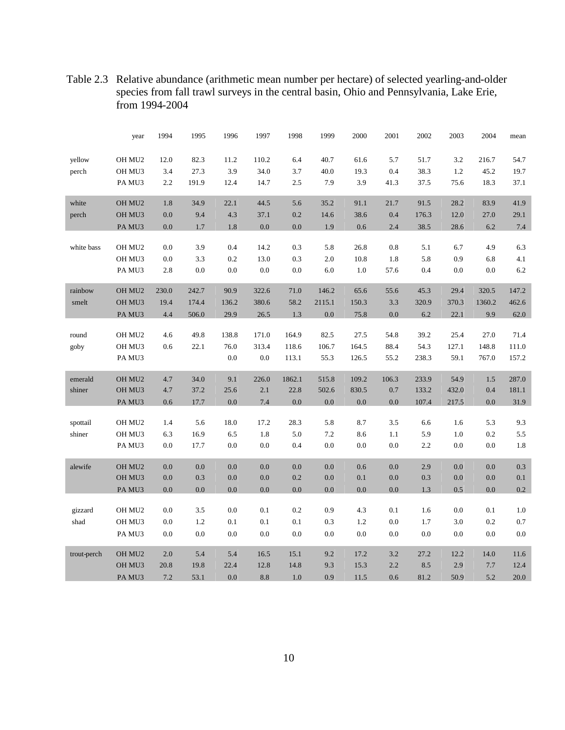|             | year               | 1994    | 1995    | 1996     | 1997    | 1998    | 1999    | 2000    | 2001    | 2002    | 2003    | 2004   | mean    |
|-------------|--------------------|---------|---------|----------|---------|---------|---------|---------|---------|---------|---------|--------|---------|
| yellow      | OH MU2             | 12.0    | 82.3    | $11.2\,$ | 110.2   | 6.4     | 40.7    | 61.6    | 5.7     | 51.7    | 3.2     | 216.7  | 54.7    |
| perch       | OH MU3             | 3.4     | 27.3    | 3.9      | 34.0    | 3.7     | 40.0    | 19.3    | 0.4     | 38.3    | 1.2     | 45.2   | 19.7    |
|             | PA MU3             | 2.2     | 191.9   | 12.4     | 14.7    | 2.5     | 7.9     | 3.9     | 41.3    | 37.5    | 75.6    | 18.3   | 37.1    |
| white       | OH MU2             | $1.8\,$ | 34.9    | 22.1     | 44.5    | 5.6     | 35.2    | 91.1    | 21.7    | 91.5    | 28.2    | 83.9   | 41.9    |
| perch       | OH MU3             | 0.0     | 9.4     | 4.3      | 37.1    | 0.2     | 14.6    | 38.6    | 0.4     | 176.3   | 12.0    | 27.0   | 29.1    |
|             | PA MU3             | $0.0\,$ | $1.7\,$ | 1.8      | $0.0\,$ | 0.0     | 1.9     | 0.6     | 2.4     | 38.5    | 28.6    | 6.2    | $7.4\,$ |
|             |                    |         |         |          |         |         |         |         |         |         |         |        |         |
| white bass  | OH MU <sub>2</sub> | 0.0     | 3.9     | 0.4      | 14.2    | $0.3\,$ | 5.8     | 26.8    | 0.8     | 5.1     | 6.7     | 4.9    | 6.3     |
|             | OH MU3             | 0.0     | 3.3     | $0.2\,$  | 13.0    | 0.3     | $2.0\,$ | 10.8    | 1.8     | 5.8     | 0.9     | 6.8    | 4.1     |
|             | PA MU3             | $2.8\,$ | 0.0     | 0.0      | 0.0     | 0.0     | $6.0\,$ | 1.0     | 57.6    | 0.4     | 0.0     | 0.0    | $6.2\,$ |
| rainbow     | OH MU <sub>2</sub> | 230.0   | 242.7   | 90.9     | 322.6   | 71.0    | 146.2   | 65.6    | 55.6    | 45.3    | 29.4    | 320.5  | 147.2   |
| smelt       | OH MU3             | 19.4    | 174.4   | 136.2    | 380.6   | 58.2    | 2115.1  | 150.3   | 3.3     | 320.9   | 370.3   | 1360.2 | 462.6   |
|             | PA MU3             | 4.4     | 506.0   | 29.9     | 26.5    | $1.3\,$ | 0.0     | 75.8    | 0.0     | $6.2\,$ | 22.1    | 9.9    | 62.0    |
|             |                    |         |         |          |         |         |         |         |         |         |         |        |         |
| round       | OH MU2             | 4.6     | 49.8    | 138.8    | 171.0   | 164.9   | 82.5    | 27.5    | 54.8    | 39.2    | 25.4    | 27.0   | 71.4    |
| goby        | OH MU3             | 0.6     | 22.1    | 76.0     | 313.4   | 118.6   | 106.7   | 164.5   | 88.4    | 54.3    | 127.1   | 148.8  | 111.0   |
|             | PA MU3             |         |         | $0.0\,$  | $0.0\,$ | 113.1   | 55.3    | 126.5   | 55.2    | 238.3   | 59.1    | 767.0  | 157.2   |
|             |                    |         |         |          |         |         |         |         |         |         |         |        |         |
| emerald     | OH MU2             | 4.7     | 34.0    | 9.1      | 226.0   | 1862.1  | 515.8   | 109.2   | 106.3   | 233.9   | 54.9    | 1.5    | 287.0   |
| shiner      | OH MU3             | 4.7     | 37.2    | 25.6     | $2.1\,$ | 22.8    | 502.6   | 830.5   | $0.7\,$ | 133.2   | 432.0   | 0.4    | 181.1   |
|             | PA MU3             | 0.6     | 17.7    | $0.0\,$  | 7.4     | 0.0     | 0.0     | 0.0     | 0.0     | 107.4   | 217.5   | 0.0    | 31.9    |
|             |                    |         |         |          |         |         |         |         |         |         |         |        |         |
| spottail    | OH MU2             | 1.4     | 5.6     | 18.0     | 17.2    | 28.3    | 5.8     | 8.7     | 3.5     | 6.6     | 1.6     | 5.3    | 9.3     |
| shiner      | OH MU3             | 6.3     | 16.9    | 6.5      | 1.8     | 5.0     | 7.2     | 8.6     | 1.1     | 5.9     | 1.0     | 0.2    | $5.5\,$ |
|             | PA MU3             | 0.0     | 17.7    | 0.0      | $0.0\,$ | 0.4     | 0.0     | 0.0     | 0.0     | 2.2     | 0.0     | 0.0    | $1.8\,$ |
| alewife     | OH MU <sub>2</sub> | 0.0     | 0.0     | 0.0      | $0.0\,$ | 0.0     | 0.0     | 0.6     | 0.0     | 2.9     | 0.0     | 0.0    | 0.3     |
|             | OH MU3             | $0.0\,$ | $0.3\,$ | $0.0\,$  | $0.0\,$ | 0.2     | $0.0\,$ | 0.1     | $0.0\,$ | 0.3     | 0.0     | 0.0    | 0.1     |
|             | PA MU3             | $0.0\,$ | $0.0\,$ | 0.0      | $0.0\,$ | 0.0     | $0.0\,$ | 0.0     | 0.0     | 1.3     | $0.5\,$ | 0.0    | $0.2\,$ |
|             |                    |         |         |          |         |         |         |         |         |         |         |        |         |
| gizzard     | OH MU2             | 0.0     | $3.5\,$ | $0.0\,$  | 0.1     | 0.2     | 0.9     | 4.3     | 0.1     | 1.6     | $0.0\,$ | 0.1    | $1.0\,$ |
| shad        | OH MU3             | $0.0\,$ | $1.2\,$ | 0.1      | 0.1     | 0.1     | 0.3     | $1.2\,$ | $0.0\,$ | 1.7     | 3.0     | 0.2    | $0.7\,$ |
|             | PA MU3             | $0.0\,$ | $0.0\,$ | $0.0\,$  | $0.0\,$ | 0.0     | $0.0\,$ | $0.0\,$ | $0.0\,$ | 0.0     | 0.0     | 0.0    | $0.0\,$ |
|             |                    |         |         |          |         |         |         |         |         |         |         |        |         |
| trout-perch | OH MU <sub>2</sub> | 2.0     | 5.4     | 5.4      | 16.5    | 15.1    | 9.2     | 17.2    | 3.2     | 27.2    | 12.2    | 14.0   | 11.6    |
|             | OH MU3             | 20.8    | 19.8    | 22.4     | 12.8    | 14.8    | 9.3     | 15.3    | 2.2     | 8.5     | 2.9     | 7.7    | 12.4    |
|             | PA MU3             | 7.2     | 53.1    | 0.0      | 8.8     | 1.0     | 0.9     | 11.5    | 0.6     | 81.2    | 50.9    | 5.2    | 20.0    |

Table 2.3 Relative abundance (arithmetic mean number per hectare) of selected yearling-and-older species from fall trawl surveys in the central basin, Ohio and Pennsylvania, Lake Erie, from 1994-2004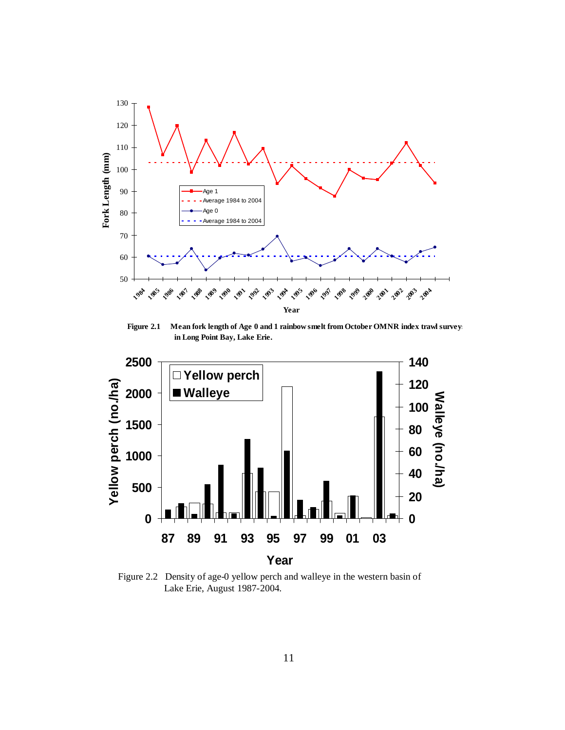

**Figure 2.1 Mean fork length of Age 0 and 1 rainbow smelt from October OMNR index trawl surveys in Long Point Bay, Lake Erie.**



Figure 2.2 Density of age-0 yellow perch and walleye in the western basin of Lake Erie, August 1987-2004.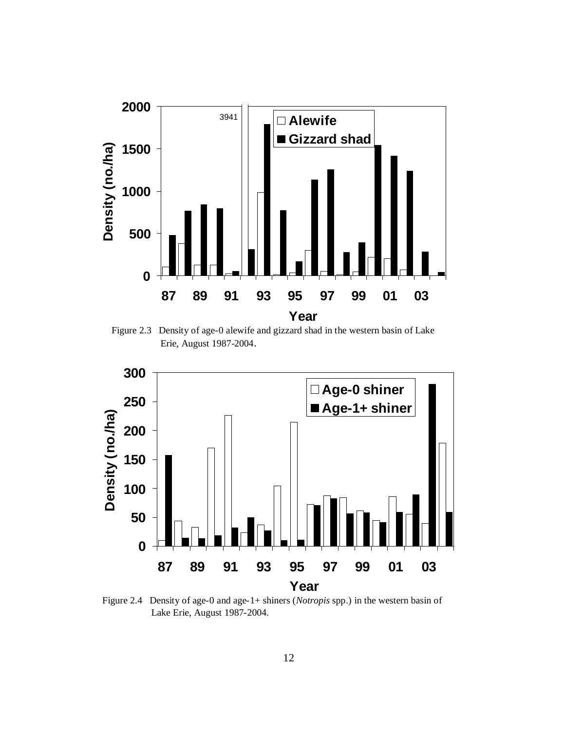

Figure 2.3 Density of age-0 alewife and gizzard shad in the western basin of Lake Erie, August 1987-2004.



Figure 2.4 Density of age-0 and age-1+ shiners (*Notropis* spp.) in the western basin of Lake Erie, August 1987-2004.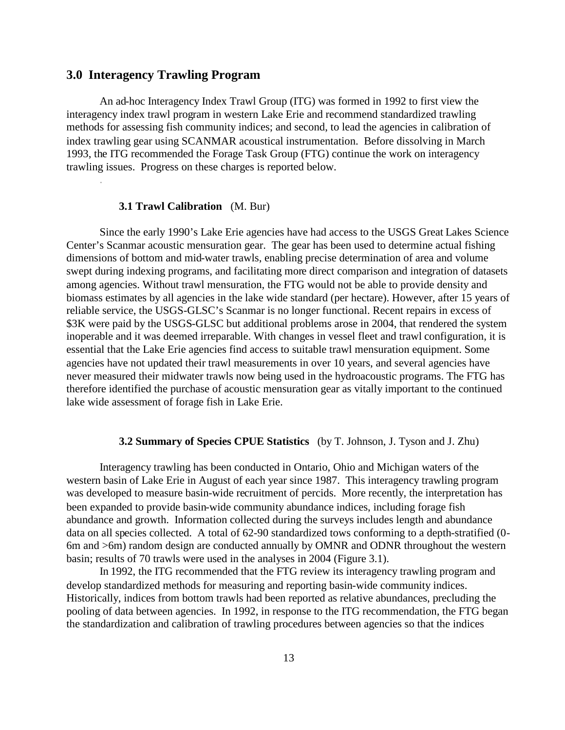## **3.0 Interagency Trawling Program**

.

An ad-hoc Interagency Index Trawl Group (ITG) was formed in 1992 to first view the interagency index trawl program in western Lake Erie and recommend standardized trawling methods for assessing fish community indices; and second, to lead the agencies in calibration of index trawling gear using SCANMAR acoustical instrumentation. Before dissolving in March 1993, the ITG recommended the Forage Task Group (FTG) continue the work on interagency trawling issues. Progress on these charges is reported below.

#### **3.1 Trawl Calibration** (M. Bur)

Since the early 1990's Lake Erie agencies have had access to the USGS Great Lakes Science Center's Scanmar acoustic mensuration gear. The gear has been used to determine actual fishing dimensions of bottom and mid-water trawls, enabling precise determination of area and volume swept during indexing programs, and facilitating more direct comparison and integration of datasets among agencies. Without trawl mensuration, the FTG would not be able to provide density and biomass estimates by all agencies in the lake wide standard (per hectare). However, after 15 years of reliable service, the USGS-GLSC's Scanmar is no longer functional. Recent repairs in excess of \$3K were paid by the USGS-GLSC but additional problems arose in 2004, that rendered the system inoperable and it was deemed irreparable. With changes in vessel fleet and trawl configuration, it is essential that the Lake Erie agencies find access to suitable trawl mensuration equipment. Some agencies have not updated their trawl measurements in over 10 years, and several agencies have never measured their midwater trawls now being used in the hydroacoustic programs. The FTG has therefore identified the purchase of acoustic mensuration gear as vitally important to the continued lake wide assessment of forage fish in Lake Erie.

## **3.2 Summary of Species CPUE Statistics** (by T. Johnson, J. Tyson and J. Zhu)

Interagency trawling has been conducted in Ontario, Ohio and Michigan waters of the western basin of Lake Erie in August of each year since 1987. This interagency trawling program was developed to measure basin-wide recruitment of percids. More recently, the interpretation has been expanded to provide basin-wide community abundance indices, including forage fish abundance and growth. Information collected during the surveys includes length and abundance data on all species collected. A total of 62-90 standardized tows conforming to a depth-stratified (0- 6m and >6m) random design are conducted annually by OMNR and ODNR throughout the western basin; results of 70 trawls were used in the analyses in 2004 (Figure 3.1).

In 1992, the ITG recommended that the FTG review its interagency trawling program and develop standardized methods for measuring and reporting basin-wide community indices. Historically, indices from bottom trawls had been reported as relative abundances, precluding the pooling of data between agencies. In 1992, in response to the ITG recommendation, the FTG began the standardization and calibration of trawling procedures between agencies so that the indices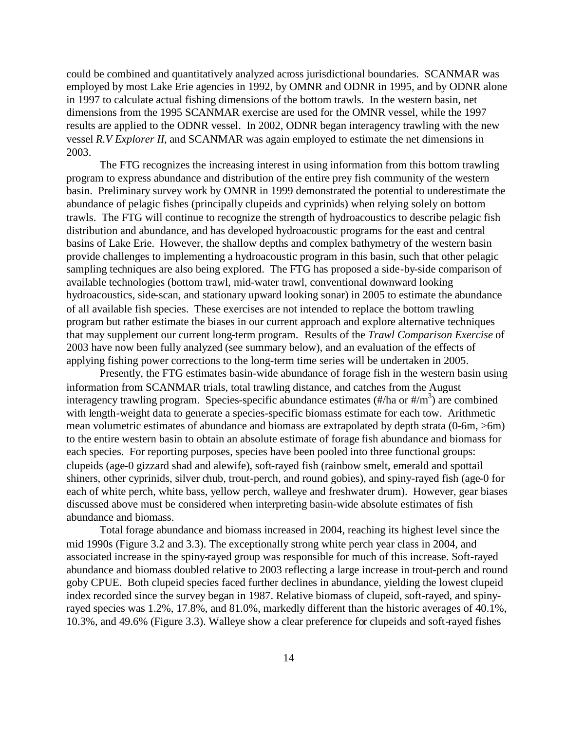could be combined and quantitatively analyzed across jurisdictional boundaries. SCANMAR was employed by most Lake Erie agencies in 1992, by OMNR and ODNR in 1995, and by ODNR alone in 1997 to calculate actual fishing dimensions of the bottom trawls. In the western basin, net dimensions from the 1995 SCANMAR exercise are used for the OMNR vessel, while the 1997 results are applied to the ODNR vessel. In 2002, ODNR began interagency trawling with the new vessel *R.V Explorer II*, and SCANMAR was again employed to estimate the net dimensions in 2003.

The FTG recognizes the increasing interest in using information from this bottom trawling program to express abundance and distribution of the entire prey fish community of the western basin. Preliminary survey work by OMNR in 1999 demonstrated the potential to underestimate the abundance of pelagic fishes (principally clupeids and cyprinids) when relying solely on bottom trawls. The FTG will continue to recognize the strength of hydroacoustics to describe pelagic fish distribution and abundance, and has developed hydroacoustic programs for the east and central basins of Lake Erie. However, the shallow depths and complex bathymetry of the western basin provide challenges to implementing a hydroacoustic program in this basin, such that other pelagic sampling techniques are also being explored. The FTG has proposed a side-by-side comparison of available technologies (bottom trawl, mid-water trawl, conventional downward looking hydroacoustics, side-scan, and stationary upward looking sonar) in 2005 to estimate the abundance of all available fish species. These exercises are not intended to replace the bottom trawling program but rather estimate the biases in our current approach and explore alternative techniques that may supplement our current long-term program. Results of the *Trawl Comparison Exercise* of 2003 have now been fully analyzed (see summary below), and an evaluation of the effects of applying fishing power corrections to the long-term time series will be undertaken in 2005.

Presently, the FTG estimates basin-wide abundance of forage fish in the western basin using information from SCANMAR trials, total trawling distance, and catches from the August interagency trawling program. Species-specific abundance estimates  $(\text{\#/ha or }\text{\#/m}^3)$  are combined with length-weight data to generate a species-specific biomass estimate for each tow. Arithmetic mean volumetric estimates of abundance and biomass are extrapolated by depth strata (0-6m, >6m) to the entire western basin to obtain an absolute estimate of forage fish abundance and biomass for each species. For reporting purposes, species have been pooled into three functional groups: clupeids (age-0 gizzard shad and alewife), soft-rayed fish (rainbow smelt, emerald and spottail shiners, other cyprinids, silver chub, trout-perch, and round gobies), and spiny-rayed fish (age-0 for each of white perch, white bass, yellow perch, walleye and freshwater drum). However, gear biases discussed above must be considered when interpreting basin-wide absolute estimates of fish abundance and biomass.

Total forage abundance and biomass increased in 2004, reaching its highest level since the mid 1990s (Figure 3.2 and 3.3). The exceptionally strong white perch year class in 2004, and associated increase in the spiny-rayed group was responsible for much of this increase. Soft-rayed abundance and biomass doubled relative to 2003 reflecting a large increase in trout-perch and round goby CPUE. Both clupeid species faced further declines in abundance, yielding the lowest clupeid index recorded since the survey began in 1987. Relative biomass of clupeid, soft-rayed, and spinyrayed species was 1.2%, 17.8%, and 81.0%, markedly different than the historic averages of 40.1%, 10.3%, and 49.6% (Figure 3.3). Walleye show a clear preference for clupeids and soft-rayed fishes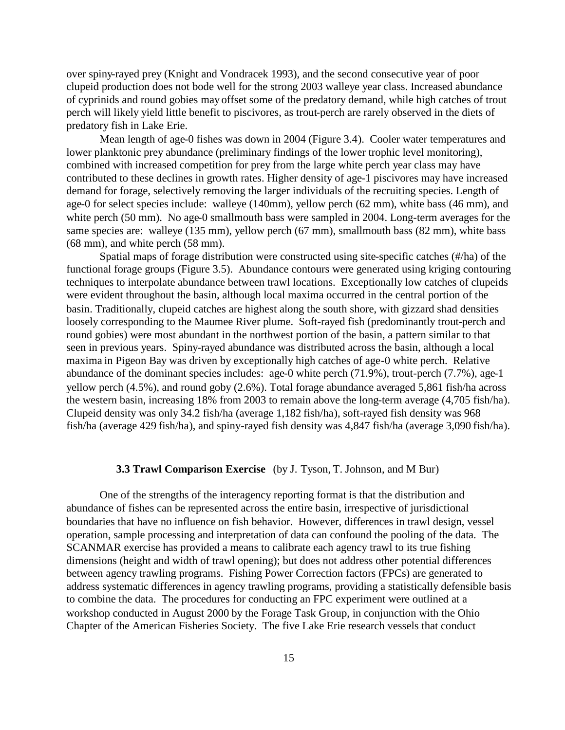over spiny-rayed prey (Knight and Vondracek 1993), and the second consecutive year of poor clupeid production does not bode well for the strong 2003 walleye year class. Increased abundance of cyprinids and round gobies may offset some of the predatory demand, while high catches of trout perch will likely yield little benefit to piscivores, as trout-perch are rarely observed in the diets of predatory fish in Lake Erie.

Mean length of age-0 fishes was down in 2004 (Figure 3.4). Cooler water temperatures and lower planktonic prey abundance (preliminary findings of the lower trophic level monitoring), combined with increased competition for prey from the large white perch year class may have contributed to these declines in growth rates. Higher density of age-1 piscivores may have increased demand for forage, selectively removing the larger individuals of the recruiting species. Length of age-0 for select species include: walleye (140mm), yellow perch (62 mm), white bass (46 mm), and white perch (50 mm). No age-0 smallmouth bass were sampled in 2004. Long-term averages for the same species are: walleye (135 mm), yellow perch (67 mm), smallmouth bass (82 mm), white bass (68 mm), and white perch (58 mm).

Spatial maps of forage distribution were constructed using site-specific catches (#/ha) of the functional forage groups (Figure 3.5). Abundance contours were generated using kriging contouring techniques to interpolate abundance between trawl locations. Exceptionally low catches of clupeids were evident throughout the basin, although local maxima occurred in the central portion of the basin. Traditionally, clupeid catches are highest along the south shore, with gizzard shad densities loosely corresponding to the Maumee River plume. Soft-rayed fish (predominantly trout-perch and round gobies) were most abundant in the northwest portion of the basin, a pattern similar to that seen in previous years. Spiny-rayed abundance was distributed across the basin, although a local maxima in Pigeon Bay was driven by exceptionally high catches of age-0 white perch. Relative abundance of the dominant species includes: age-0 white perch (71.9%), trout-perch (7.7%), age-1 yellow perch (4.5%), and round goby (2.6%). Total forage abundance averaged 5,861 fish/ha across the western basin, increasing 18% from 2003 to remain above the long-term average (4,705 fish/ha). Clupeid density was only 34.2 fish/ha (average 1,182 fish/ha), soft-rayed fish density was 968 fish/ha (average 429 fish/ha), and spiny-rayed fish density was 4,847 fish/ha (average 3,090 fish/ha).

### **3.3 Trawl Comparison Exercise** (by J. Tyson, T. Johnson, and M Bur)

One of the strengths of the interagency reporting format is that the distribution and abundance of fishes can be represented across the entire basin, irrespective of jurisdictional boundaries that have no influence on fish behavior. However, differences in trawl design, vessel operation, sample processing and interpretation of data can confound the pooling of the data. The SCANMAR exercise has provided a means to calibrate each agency trawl to its true fishing dimensions (height and width of trawl opening); but does not address other potential differences between agency trawling programs. Fishing Power Correction factors (FPCs) are generated to address systematic differences in agency trawling programs, providing a statistically defensible basis to combine the data. The procedures for conducting an FPC experiment were outlined at a workshop conducted in August 2000 by the Forage Task Group, in conjunction with the Ohio Chapter of the American Fisheries Society. The five Lake Erie research vessels that conduct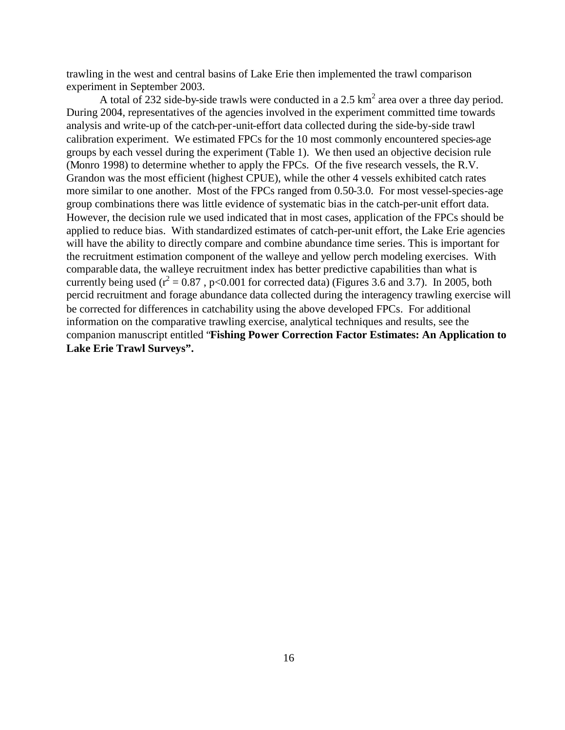trawling in the west and central basins of Lake Erie then implemented the trawl comparison experiment in September 2003.

A total of 232 side-by-side trawls were conducted in a 2.5  $km^2$  area over a three day period. During 2004, representatives of the agencies involved in the experiment committed time towards analysis and write-up of the catch-per-unit-effort data collected during the side-by-side trawl calibration experiment. We estimated FPCs for the 10 most commonly encountered species-age groups by each vessel during the experiment (Table 1). We then used an objective decision rule (Monro 1998) to determine whether to apply the FPCs. Of the five research vessels, the R.V. Grandon was the most efficient (highest CPUE), while the other 4 vessels exhibited catch rates more similar to one another. Most of the FPCs ranged from 0.50-3.0. For most vessel-species-age group combinations there was little evidence of systematic bias in the catch-per-unit effort data. However, the decision rule we used indicated that in most cases, application of the FPCs should be applied to reduce bias. With standardized estimates of catch-per-unit effort, the Lake Erie agencies will have the ability to directly compare and combine abundance time series. This is important for the recruitment estimation component of the walleye and yellow perch modeling exercises. With comparable data, the walleye recruitment index has better predictive capabilities than what is currently being used ( $r^2 = 0.87$ , p<0.001 for corrected data) (Figures 3.6 and 3.7). In 2005, both percid recruitment and forage abundance data collected during the interagency trawling exercise will be corrected for differences in catchability using the above developed FPCs. For additional information on the comparative trawling exercise, analytical techniques and results, see the companion manuscript entitled "**Fishing Power Correction Factor Estimates: An Application to Lake Erie Trawl Surveys".**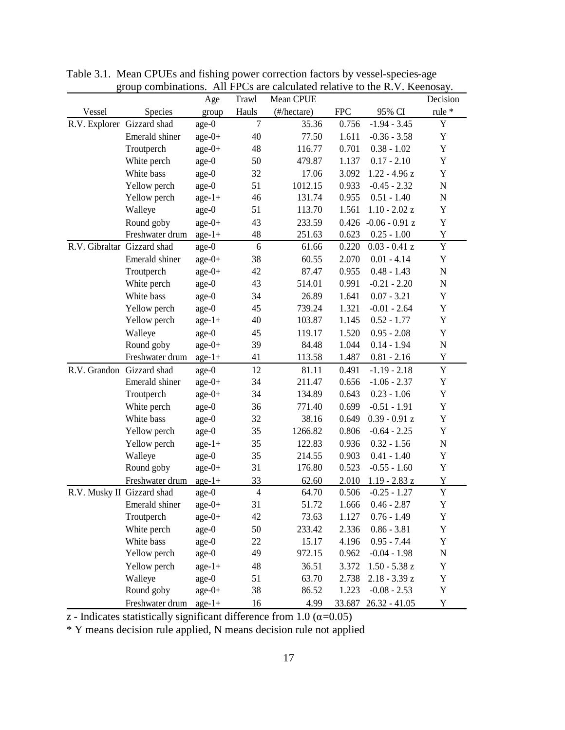|                             | group comomations. All FFCs are calculated relative to the K.V. Reeliosay. | Age      | Trawl          | Mean CPUE   |            |                  | Decision    |
|-----------------------------|----------------------------------------------------------------------------|----------|----------------|-------------|------------|------------------|-------------|
| Vessel                      | Species                                                                    | group    | Hauls          | (#/hectare) | <b>FPC</b> | 95% CI           | rule *      |
| R.V. Explorer Gizzard shad  |                                                                            | age-0    | $\overline{7}$ | 35.36       | 0.756      | $-1.94 - 3.45$   | Y           |
|                             | Emerald shiner                                                             | $age-0+$ | 40             | 77.50       | 1.611      | $-0.36 - 3.58$   | Y           |
|                             | Troutperch                                                                 | $age-0+$ | 48             | 116.77      | 0.701      | $0.38 - 1.02$    | Y           |
|                             | White perch                                                                | $age-0$  | 50             | 479.87      | 1.137      | $0.17 - 2.10$    | Y           |
|                             | White bass                                                                 | age-0    | 32             | 17.06       | 3.092      | $1.22 - 4.96 z$  | Y           |
|                             | Yellow perch                                                               | age-0    | 51             | 1012.15     | 0.933      | $-0.45 - 2.32$   | $\mathbf N$ |
|                             | Yellow perch                                                               | $age-1+$ | 46             | 131.74      | 0.955      | $0.51 - 1.40$    | N           |
|                             | Walleye                                                                    | $age-0$  | 51             | 113.70      | 1.561      | $1.10 - 2.02 z$  | Y           |
|                             | Round goby                                                                 | $age-0+$ | 43             | 233.59      | 0.426      | $-0.06 - 0.91$ z | Y           |
|                             | Freshwater drum                                                            | $age-1+$ | 48             | 251.63      | 0.623      | $0.25 - 1.00$    | Y           |
| R.V. Gibraltar Gizzard shad |                                                                            | age-0    | 6              | 61.66       | 0.220      | $0.03 - 0.41 z$  | Y           |
|                             | Emerald shiner                                                             | $age-0+$ | 38             | 60.55       | 2.070      | $0.01 - 4.14$    | Y           |
|                             | Troutperch                                                                 | $age-0+$ | 42             | 87.47       | 0.955      | $0.48 - 1.43$    | ${\bf N}$   |
|                             | White perch                                                                | age-0    | 43             | 514.01      | 0.991      | $-0.21 - 2.20$   | N           |
|                             | White bass                                                                 | $age-0$  | 34             | 26.89       | 1.641      | $0.07 - 3.21$    | Y           |
|                             | Yellow perch                                                               | age-0    | 45             | 739.24      | 1.321      | $-0.01 - 2.64$   | Y           |
|                             | Yellow perch                                                               | $age-1+$ | 40             | 103.87      | 1.145      | $0.52 - 1.77$    | Y           |
|                             | Walleye                                                                    | $age-0$  | 45             | 119.17      | 1.520      | $0.95 - 2.08$    | Y           |
|                             | Round goby                                                                 | $age-0+$ | 39             | 84.48       | 1.044      | $0.14 - 1.94$    | $\mathbf N$ |
|                             | Freshwater drum                                                            | $age-1+$ | 41             | 113.58      | 1.487      | $0.81 - 2.16$    | Y           |
| R.V. Grandon Gizzard shad   |                                                                            | $age-0$  | 12             | 81.11       | 0.491      | $-1.19 - 2.18$   | Y           |
|                             | Emerald shiner                                                             | $age-0+$ | 34             | 211.47      | 0.656      | $-1.06 - 2.37$   | Y           |
|                             | Troutperch                                                                 | $age-0+$ | 34             | 134.89      | 0.643      | $0.23 - 1.06$    | Y           |
|                             | White perch                                                                | $age-0$  | 36             | 771.40      | 0.699      | $-0.51 - 1.91$   | Y           |
|                             | White bass                                                                 | age-0    | 32             | 38.16       | 0.649      | $0.39 - 0.91$ z  | Y           |
|                             | Yellow perch                                                               | age-0    | 35             | 1266.82     | 0.806      | $-0.64 - 2.25$   | Y           |
|                             | Yellow perch                                                               | $age-1+$ | 35             | 122.83      | 0.936      | $0.32 - 1.56$    | $\mathbf N$ |
|                             | Walleye                                                                    | age-0    | 35             | 214.55      | 0.903      | $0.41 - 1.40$    | Y           |
|                             | Round goby                                                                 | $age-0+$ | 31             | 176.80      | 0.523      | $-0.55 - 1.60$   | Y           |
|                             | Freshwater drum                                                            | $age-1+$ | 33             | 62.60       | 2.010      | $1.19 - 2.83 z$  | Y           |
| R.V. Musky II Gizzard shad  |                                                                            | age-0    | $\overline{4}$ | 64.70       | 0.506      | $-0.25 - 1.27$   | Y           |
|                             | Emerald shiner                                                             | $age-0+$ | 31             | 51.72       | 1.666      | $0.46 - 2.87$    | Y           |
|                             | Troutperch                                                                 | $age-0+$ | 42             | 73.63       | 1.127      | $0.76 - 1.49$    | Y           |
|                             | White perch                                                                | age-0    | 50             | 233.42      | 2.336      | $0.86 - 3.81$    | Y           |
|                             | White bass                                                                 | age-0    | 22             | 15.17       | 4.196      | $0.95 - 7.44$    | Y           |
|                             | Yellow perch                                                               | age-0    | 49             | 972.15      | 0.962      | $-0.04 - 1.98$   | ${\bf N}$   |
|                             | Yellow perch                                                               | $age-1+$ | 48             | 36.51       | 3.372      | $1.50 - 5.38$ z  | Y           |
|                             | Walleye                                                                    | age-0    | 51             | 63.70       | 2.738      | $2.18 - 3.39 z$  | $\mathbf Y$ |
|                             | Round goby                                                                 | $age-0+$ | 38             | 86.52       | 1.223      | $-0.08 - 2.53$   | $\mathbf Y$ |
|                             | Freshwater drum                                                            | $age-1+$ | 16             | 4.99        | 33.687     | $26.32 - 41.05$  | Y           |

Table 3.1. Mean CPUEs and fishing power correction factors by vessel-species-age group combinations. All FPCs are calculated relative to the R.V. Keenosay.

 $\overline{z}$  - Indicates statistically significant difference from 1.0 ( $\alpha$ =0.05)

\* Y means decision rule applied, N means decision rule not applied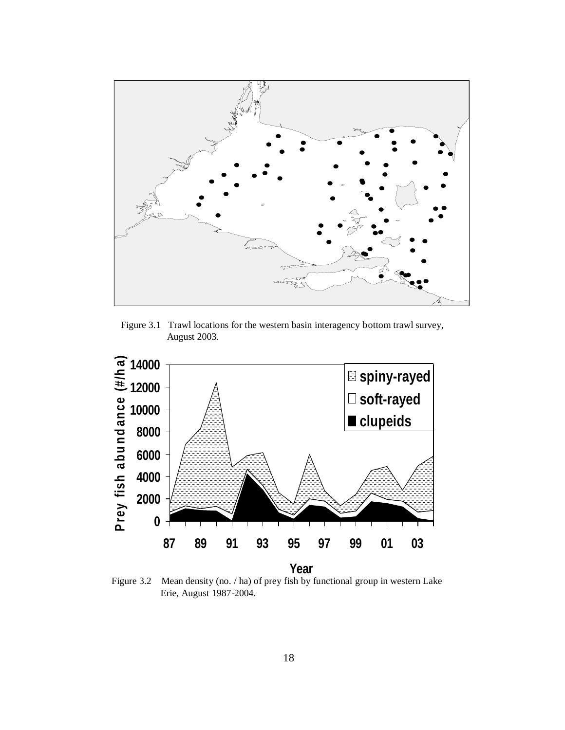

Figure 3.1 Trawl locations for the western basin interagency bottom trawl survey, August 2003.



Figure 3.2 Mean density (no. / ha) of prey fish by functional group in western Lake Erie, August 1987-2004.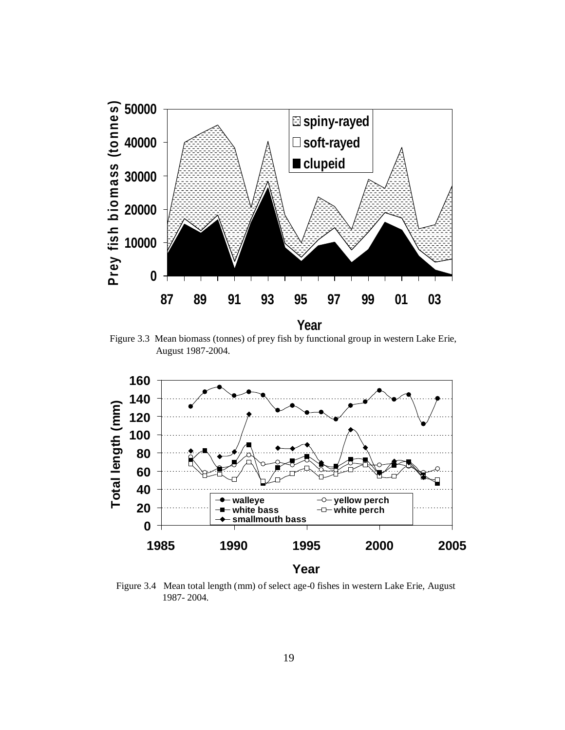

Figure 3.3 Mean biomass (tonnes) of prey fish by functional group in western Lake Erie, August 1987-2004.



Figure 3.4 Mean total length (mm) of select age-0 fishes in western Lake Erie, August 1987- 2004.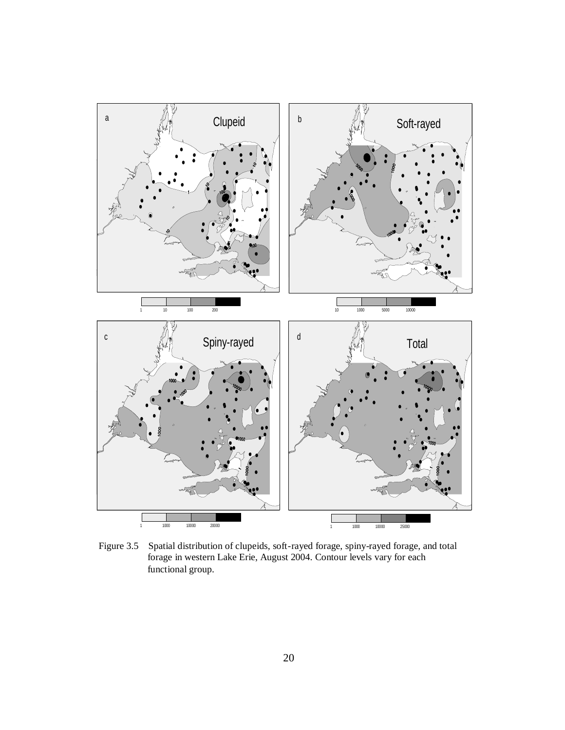

Figure 3.5 Spatial distribution of clupeids, soft-rayed forage, spiny-rayed forage, and total forage in western Lake Erie, August 2004. Contour levels vary for each functional group.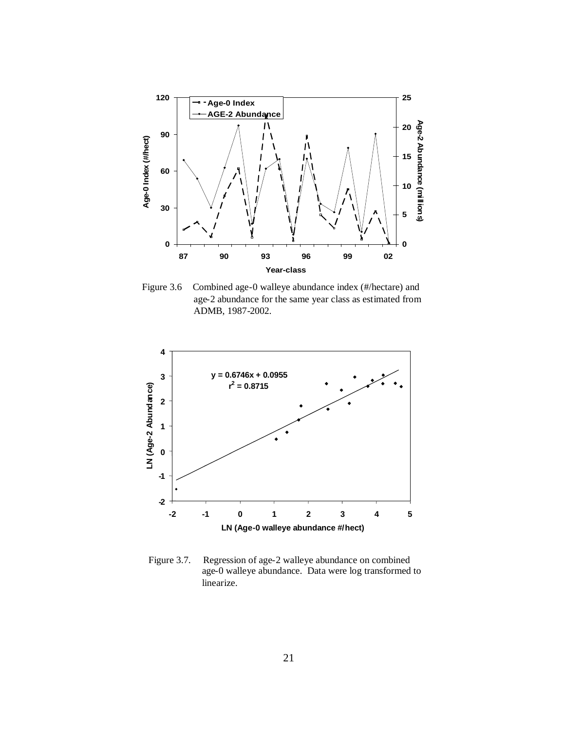

Figure 3.6 Combined age-0 walleye abundance index (#/hectare) and age-2 abundance for the same year class as estimated from ADMB, 1987-2002.



Figure 3.7. Regression of age-2 walleye abundance on combined age-0 walleye abundance. Data were log transformed to linearize.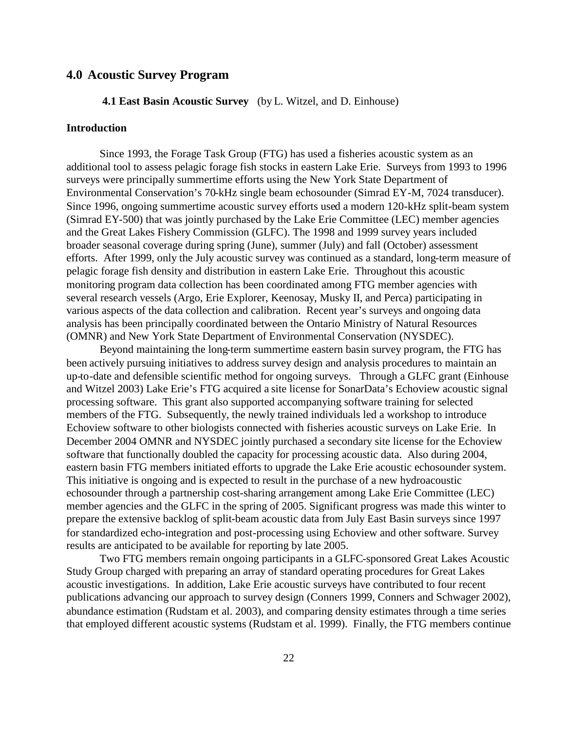## **4.0 Acoustic Survey Program**

## **4.1 East Basin Acoustic Survey** (by L. Witzel, and D. Einhouse)

## **Introduction**

Since 1993, the Forage Task Group (FTG) has used a fisheries acoustic system as an additional tool to assess pelagic forage fish stocks in eastern Lake Erie. Surveys from 1993 to 1996 surveys were principally summertime efforts using the New York State Department of Environmental Conservation's 70-kHz single beam echosounder (Simrad EY-M, 7024 transducer). Since 1996, ongoing summertime acoustic survey efforts used a modern 120-kHz split-beam system (Simrad EY-500) that was jointly purchased by the Lake Erie Committee (LEC) member agencies and the Great Lakes Fishery Commission (GLFC). The 1998 and 1999 survey years included broader seasonal coverage during spring (June), summer (July) and fall (October) assessment efforts. After 1999, only the July acoustic survey was continued as a standard, long-term measure of pelagic forage fish density and distribution in eastern Lake Erie. Throughout this acoustic monitoring program data collection has been coordinated among FTG member agencies with several research vessels (Argo, Erie Explorer, Keenosay, Musky II, and Perca) participating in various aspects of the data collection and calibration. Recent year's surveys and ongoing data analysis has been principally coordinated between the Ontario Ministry of Natural Resources (OMNR) and New York State Department of Environmental Conservation (NYSDEC).

Beyond maintaining the long-term summertime eastern basin survey program, the FTG has been actively pursuing initiatives to address survey design and analysis procedures to maintain an up-to-date and defensible scientific method for ongoing surveys. Through a GLFC grant (Einhouse and Witzel 2003) Lake Erie's FTG acquired a site license for SonarData's Echoview acoustic signal processing software. This grant also supported accompanying software training for selected members of the FTG. Subsequently, the newly trained individuals led a workshop to introduce Echoview software to other biologists connected with fisheries acoustic surveys on Lake Erie. In December 2004 OMNR and NYSDEC jointly purchased a secondary site license for the Echoview software that functionally doubled the capacity for processing acoustic data. Also during 2004, eastern basin FTG members initiated efforts to upgrade the Lake Erie acoustic echosounder system. This initiative is ongoing and is expected to result in the purchase of a new hydroacoustic echosounder through a partnership cost-sharing arrangement among Lake Erie Committee (LEC) member agencies and the GLFC in the spring of 2005. Significant progress was made this winter to prepare the extensive backlog of split-beam acoustic data from July East Basin surveys since 1997 for standardized echo-integration and post-processing using Echoview and other software. Survey results are anticipated to be available for reporting by late 2005.

Two FTG members remain ongoing participants in a GLFC-sponsored Great Lakes Acoustic Study Group charged with preparing an array of standard operating procedures for Great Lakes acoustic investigations. In addition, Lake Erie acoustic surveys have contributed to four recent publications advancing our approach to survey design (Conners 1999, Conners and Schwager 2002), abundance estimation (Rudstam et al. 2003), and comparing density estimates through a time series that employed different acoustic systems (Rudstam et al. 1999). Finally, the FTG members continue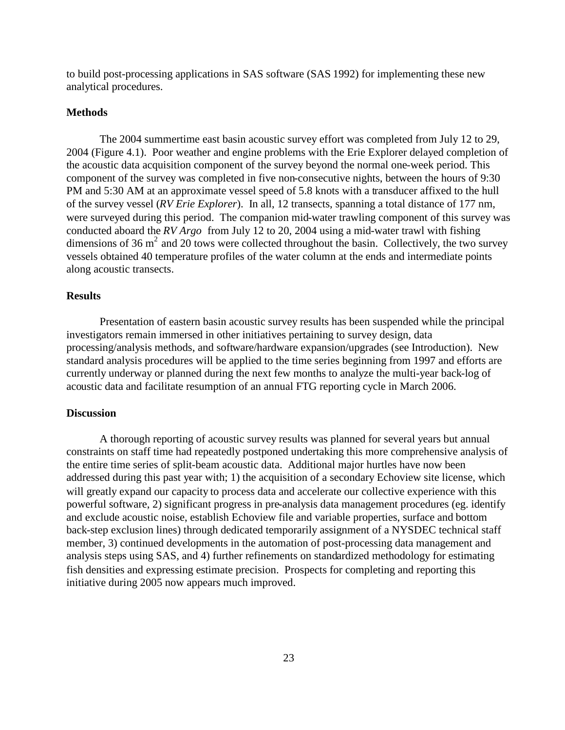to build post-processing applications in SAS software (SAS 1992) for implementing these new analytical procedures.

### **Methods**

The 2004 summertime east basin acoustic survey effort was completed from July 12 to 29, 2004 (Figure 4.1). Poor weather and engine problems with the Erie Explorer delayed completion of the acoustic data acquisition component of the survey beyond the normal one-week period. This component of the survey was completed in five non-consecutive nights, between the hours of 9:30 PM and 5:30 AM at an approximate vessel speed of 5.8 knots with a transducer affixed to the hull of the survey vessel (*RV Erie Explorer*). In all, 12 transects, spanning a total distance of 177 nm, were surveyed during this period. The companion mid-water trawling component of this survey was conducted aboard the *RV Argo* from July 12 to 20, 2004 using a mid-water trawl with fishing dimensions of 36  $m^2$  and 20 tows were collected throughout the basin. Collectively, the two survey vessels obtained 40 temperature profiles of the water column at the ends and intermediate points along acoustic transects.

### **Results**

Presentation of eastern basin acoustic survey results has been suspended while the principal investigators remain immersed in other initiatives pertaining to survey design, data processing/analysis methods, and software/hardware expansion/upgrades (see Introduction). New standard analysis procedures will be applied to the time series beginning from 1997 and efforts are currently underway or planned during the next few months to analyze the multi-year back-log of acoustic data and facilitate resumption of an annual FTG reporting cycle in March 2006.

### **Discussion**

A thorough reporting of acoustic survey results was planned for several years but annual constraints on staff time had repeatedly postponed undertaking this more comprehensive analysis of the entire time series of split-beam acoustic data. Additional major hurtles have now been addressed during this past year with; 1) the acquisition of a secondary Echoview site license, which will greatly expand our capacity to process data and accelerate our collective experience with this powerful software, 2) significant progress in pre-analysis data management procedures (eg. identify and exclude acoustic noise, establish Echoview file and variable properties, surface and bottom back-step exclusion lines) through dedicated temporarily assignment of a NYSDEC technical staff member, 3) continued developments in the automation of post-processing data management and analysis steps using SAS, and 4) further refinements on standardized methodology for estimating fish densities and expressing estimate precision. Prospects for completing and reporting this initiative during 2005 now appears much improved.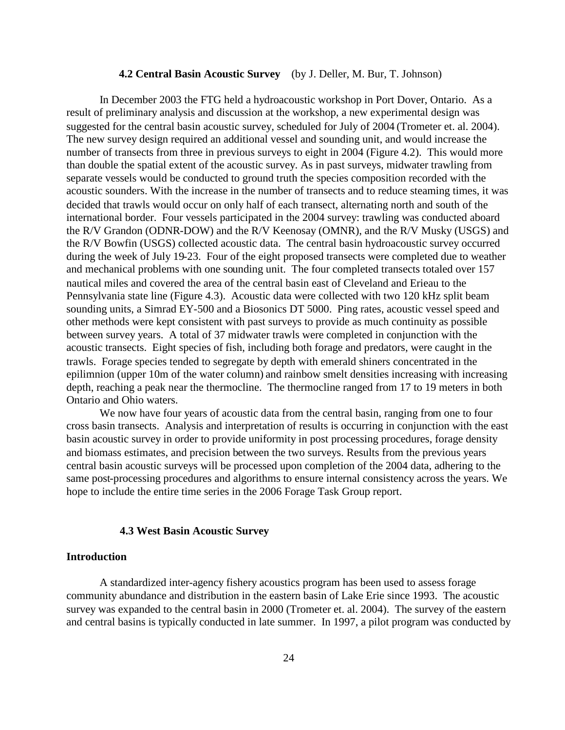#### **4.2 Central Basin Acoustic Survey** (by J. Deller, M. Bur, T. Johnson)

In December 2003 the FTG held a hydroacoustic workshop in Port Dover, Ontario. As a result of preliminary analysis and discussion at the workshop, a new experimental design was suggested for the central basin acoustic survey, scheduled for July of 2004 (Trometer et. al. 2004). The new survey design required an additional vessel and sounding unit, and would increase the number of transects from three in previous surveys to eight in 2004 (Figure 4.2). This would more than double the spatial extent of the acoustic survey. As in past surveys, midwater trawling from separate vessels would be conducted to ground truth the species composition recorded with the acoustic sounders. With the increase in the number of transects and to reduce steaming times, it was decided that trawls would occur on only half of each transect, alternating north and south of the international border. Four vessels participated in the 2004 survey: trawling was conducted aboard the R/V Grandon (ODNR-DOW) and the R/V Keenosay (OMNR), and the R/V Musky (USGS) and the R/V Bowfin (USGS) collected acoustic data. The central basin hydroacoustic survey occurred during the week of July 19-23. Four of the eight proposed transects were completed due to weather and mechanical problems with one sounding unit. The four completed transects totaled over 157 nautical miles and covered the area of the central basin east of Cleveland and Erieau to the Pennsylvania state line (Figure 4.3). Acoustic data were collected with two 120 kHz split beam sounding units, a Simrad EY-500 and a Biosonics DT 5000. Ping rates, acoustic vessel speed and other methods were kept consistent with past surveys to provide as much continuity as possible between survey years. A total of 37 midwater trawls were completed in conjunction with the acoustic transects. Eight species of fish, including both forage and predators, were caught in the trawls. Forage species tended to segregate by depth with emerald shiners concentrated in the epilimnion (upper 10m of the water column) and rainbow smelt densities increasing with increasing depth, reaching a peak near the thermocline. The thermocline ranged from 17 to 19 meters in both Ontario and Ohio waters.

We now have four years of acoustic data from the central basin, ranging from one to four cross basin transects. Analysis and interpretation of results is occurring in conjunction with the east basin acoustic survey in order to provide uniformity in post processing procedures, forage density and biomass estimates, and precision between the two surveys. Results from the previous years central basin acoustic surveys will be processed upon completion of the 2004 data, adhering to the same post-processing procedures and algorithms to ensure internal consistency across the years. We hope to include the entire time series in the 2006 Forage Task Group report.

#### **4.3 West Basin Acoustic Survey**

## **Introduction**

A standardized inter-agency fishery acoustics program has been used to assess forage community abundance and distribution in the eastern basin of Lake Erie since 1993. The acoustic survey was expanded to the central basin in 2000 (Trometer et. al. 2004). The survey of the eastern and central basins is typically conducted in late summer. In 1997, a pilot program was conducted by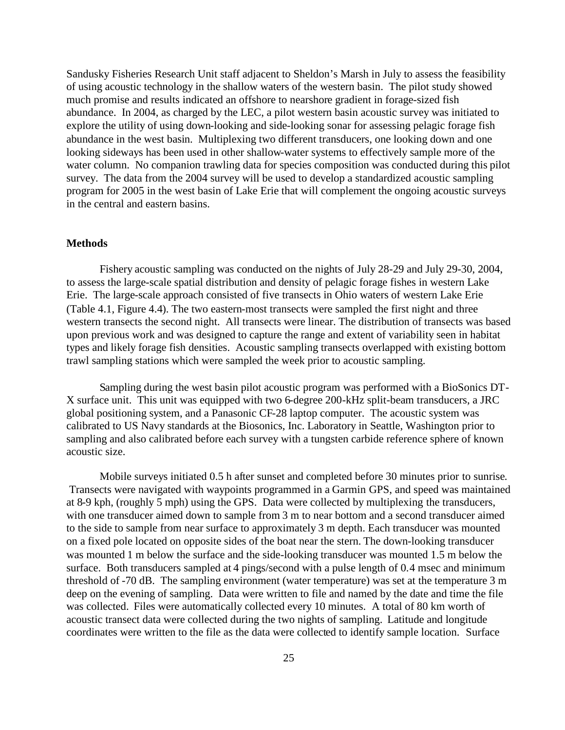Sandusky Fisheries Research Unit staff adjacent to Sheldon's Marsh in July to assess the feasibility of using acoustic technology in the shallow waters of the western basin. The pilot study showed much promise and results indicated an offshore to nearshore gradient in forage-sized fish abundance. In 2004, as charged by the LEC, a pilot western basin acoustic survey was initiated to explore the utility of using down-looking and side-looking sonar for assessing pelagic forage fish abundance in the west basin. Multiplexing two different transducers, one looking down and one looking sideways has been used in other shallow-water systems to effectively sample more of the water column. No companion trawling data for species composition was conducted during this pilot survey. The data from the 2004 survey will be used to develop a standardized acoustic sampling program for 2005 in the west basin of Lake Erie that will complement the ongoing acoustic surveys in the central and eastern basins.

### **Methods**

Fishery acoustic sampling was conducted on the nights of July 28-29 and July 29-30, 2004, to assess the large-scale spatial distribution and density of pelagic forage fishes in western Lake Erie. The large-scale approach consisted of five transects in Ohio waters of western Lake Erie (Table 4.1, Figure 4.4). The two eastern-most transects were sampled the first night and three western transects the second night. All transects were linear. The distribution of transects was based upon previous work and was designed to capture the range and extent of variability seen in habitat types and likely forage fish densities. Acoustic sampling transects overlapped with existing bottom trawl sampling stations which were sampled the week prior to acoustic sampling.

Sampling during the west basin pilot acoustic program was performed with a BioSonics DT-X surface unit. This unit was equipped with two 6-degree 200-kHz split-beam transducers, a JRC global positioning system, and a Panasonic CF-28 laptop computer. The acoustic system was calibrated to US Navy standards at the Biosonics, Inc. Laboratory in Seattle, Washington prior to sampling and also calibrated before each survey with a tungsten carbide reference sphere of known acoustic size.

Mobile surveys initiated 0.5 h after sunset and completed before 30 minutes prior to sunrise. Transects were navigated with waypoints programmed in a Garmin GPS, and speed was maintained at 8-9 kph, (roughly 5 mph) using the GPS. Data were collected by multiplexing the transducers, with one transducer aimed down to sample from 3 m to near bottom and a second transducer aimed to the side to sample from near surface to approximately 3 m depth. Each transducer was mounted on a fixed pole located on opposite sides of the boat near the stern. The down-looking transducer was mounted 1 m below the surface and the side-looking transducer was mounted 1.5 m below the surface. Both transducers sampled at 4 pings/second with a pulse length of 0.4 msec and minimum threshold of -70 dB. The sampling environment (water temperature) was set at the temperature 3 m deep on the evening of sampling. Data were written to file and named by the date and time the file was collected. Files were automatically collected every 10 minutes. A total of 80 km worth of acoustic transect data were collected during the two nights of sampling. Latitude and longitude coordinates were written to the file as the data were collected to identify sample location. Surface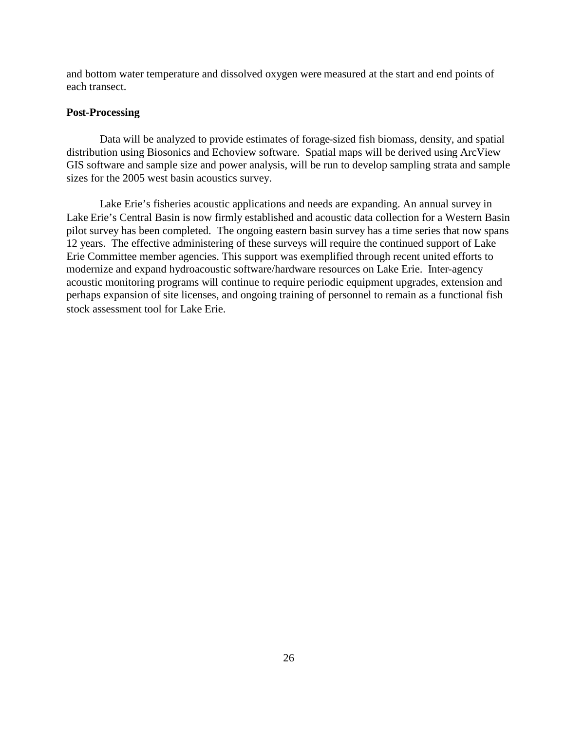and bottom water temperature and dissolved oxygen were measured at the start and end points of each transect.

### **Post-Processing**

Data will be analyzed to provide estimates of forage-sized fish biomass, density, and spatial distribution using Biosonics and Echoview software. Spatial maps will be derived using ArcView GIS software and sample size and power analysis, will be run to develop sampling strata and sample sizes for the 2005 west basin acoustics survey.

Lake Erie's fisheries acoustic applications and needs are expanding. An annual survey in Lake Erie's Central Basin is now firmly established and acoustic data collection for a Western Basin pilot survey has been completed. The ongoing eastern basin survey has a time series that now spans 12 years. The effective administering of these surveys will require the continued support of Lake Erie Committee member agencies. This support was exemplified through recent united efforts to modernize and expand hydroacoustic software/hardware resources on Lake Erie. Inter-agency acoustic monitoring programs will continue to require periodic equipment upgrades, extension and perhaps expansion of site licenses, and ongoing training of personnel to remain as a functional fish stock assessment tool for Lake Erie.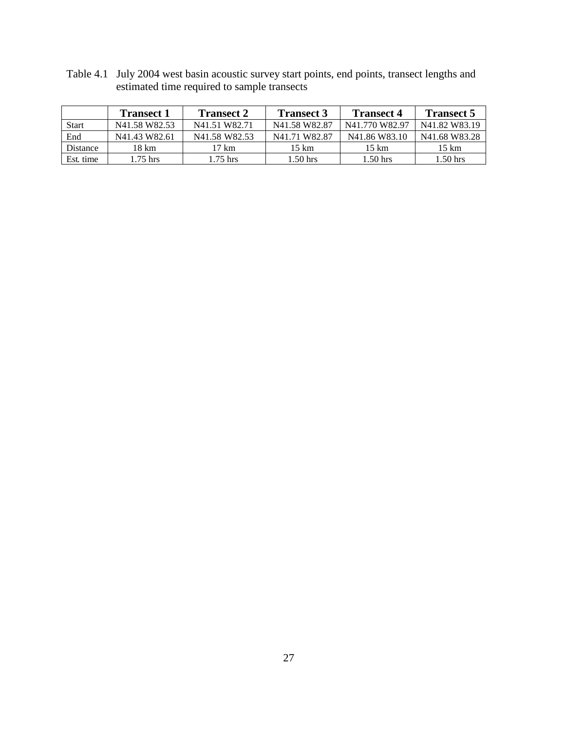|              | <b>Transect 1</b>                     | <b>Transect 2</b>                     | <b>Transect 3</b>                     | <b>Transect 4</b>                     | <b>Transect 5</b>                     |
|--------------|---------------------------------------|---------------------------------------|---------------------------------------|---------------------------------------|---------------------------------------|
| <b>Start</b> | N <sub>41.58</sub> W <sub>82.53</sub> | N41.51 W82.71                         | N <sub>41.58</sub> W <sub>82.87</sub> | N41.770 W82.97                        | N41.82 W83.19                         |
| End          | N41.43 W82.61                         | N <sub>41.58</sub> W <sub>82.53</sub> | N41.71 W82.87                         | N <sub>41.86</sub> W <sub>83.10</sub> | N <sub>41.68</sub> W <sub>83.28</sub> |
| Distance     | 18 km                                 | 17 km                                 | 15 km                                 | 15 km                                 | 15 km                                 |
| Est. time    | $1.75$ hrs                            | $1.75$ hrs                            | $1.50$ hrs                            | 1.50 hrs                              | 1.50 hrs                              |

Table 4.1 July 2004 west basin acoustic survey start points, end points, transect lengths and estimated time required to sample transects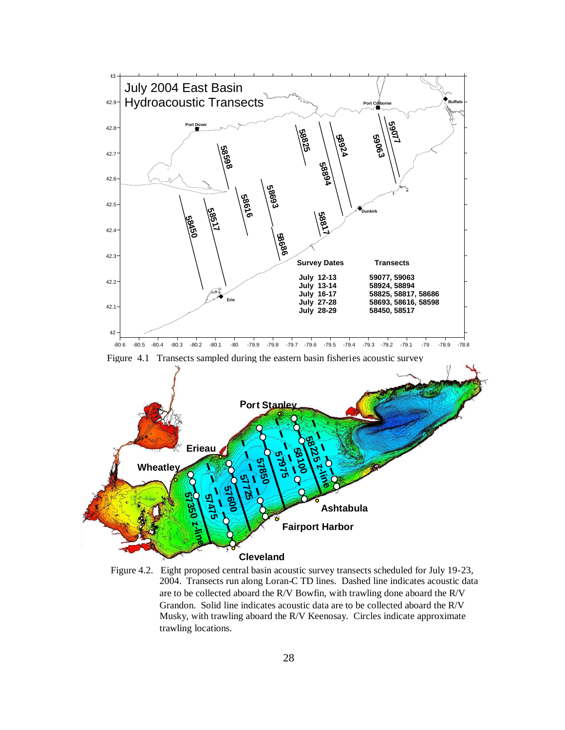

Figure 4.2. Eight proposed central basin acoustic survey transects scheduled for July 19-23, 2004. Transects run along Loran-C TD lines. Dashed line indicates acoustic data are to be collected aboard the R/V Bowfin, with trawling done aboard the R/V Grandon. Solid line indicates acoustic data are to be collected aboard the R/V Musky, with trawling aboard the R/V Keenosay. Circles indicate approximate trawling locations.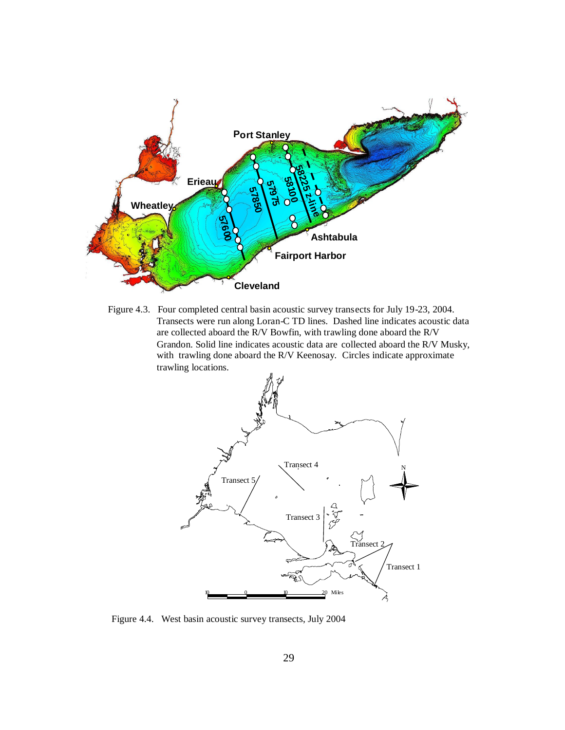

Figure 4.3. Four completed central basin acoustic survey transects for July 19-23, 2004. Transects were run along Loran-C TD lines. Dashed line indicates acoustic data are collected aboard the R/V Bowfin, with trawling done aboard the R/V Grandon. Solid line indicates acoustic data are collected aboard the R/V Musky, with trawling done aboard the R/V Keenosay. Circles indicate approximate trawling locations.



Figure 4.4. West basin acoustic survey transects, July 2004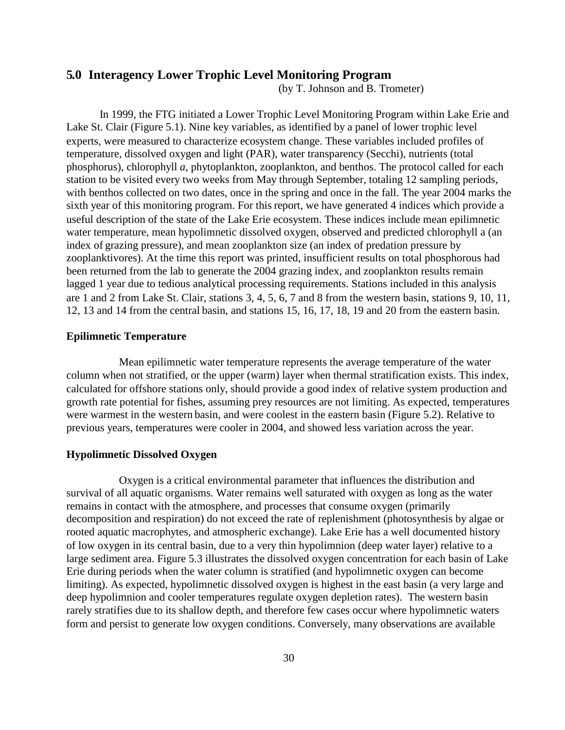## **5.0 Interagency Lower Trophic Level Monitoring Program**

(by T. Johnson and B. Trometer)

In 1999, the FTG initiated a Lower Trophic Level Monitoring Program within Lake Erie and Lake St. Clair (Figure 5.1). Nine key variables, as identified by a panel of lower trophic level experts, were measured to characterize ecosystem change. These variables included profiles of temperature, dissolved oxygen and light (PAR), water transparency (Secchi), nutrients (total phosphorus), chlorophyll *a*, phytoplankton, zooplankton, and benthos. The protocol called for each station to be visited every two weeks from May through September, totaling 12 sampling periods, with benthos collected on two dates, once in the spring and once in the fall. The year 2004 marks the sixth year of this monitoring program. For this report, we have generated 4 indices which provide a useful description of the state of the Lake Erie ecosystem. These indices include mean epilimnetic water temperature, mean hypolimnetic dissolved oxygen, observed and predicted chlorophyll a (an index of grazing pressure), and mean zooplankton size (an index of predation pressure by zooplanktivores). At the time this report was printed, insufficient results on total phosphorous had been returned from the lab to generate the 2004 grazing index, and zooplankton results remain lagged 1 year due to tedious analytical processing requirements. Stations included in this analysis are 1 and 2 from Lake St. Clair, stations 3, 4, 5, 6, 7 and 8 from the western basin, stations 9, 10, 11, 12, 13 and 14 from the central basin, and stations 15, 16, 17, 18, 19 and 20 from the eastern basin.

### **Epilimnetic Temperature**

Mean epilimnetic water temperature represents the average temperature of the water column when not stratified, or the upper (warm) layer when thermal stratification exists. This index, calculated for offshore stations only, should provide a good index of relative system production and growth rate potential for fishes, assuming prey resources are not limiting. As expected, temperatures were warmest in the western basin, and were coolest in the eastern basin (Figure 5.2). Relative to previous years, temperatures were cooler in 2004, and showed less variation across the year.

#### **Hypolimnetic Dissolved Oxygen**

Oxygen is a critical environmental parameter that influences the distribution and survival of all aquatic organisms. Water remains well saturated with oxygen as long as the water remains in contact with the atmosphere, and processes that consume oxygen (primarily decomposition and respiration) do not exceed the rate of replenishment (photosynthesis by algae or rooted aquatic macrophytes, and atmospheric exchange). Lake Erie has a well documented history of low oxygen in its central basin, due to a very thin hypolimnion (deep water layer) relative to a large sediment area. Figure 5.3 illustrates the dissolved oxygen concentration for each basin of Lake Erie during periods when the water column is stratified (and hypolimnetic oxygen can become limiting). As expected, hypolimnetic dissolved oxygen is highest in the east basin (a very large and deep hypolimnion and cooler temperatures regulate oxygen depletion rates). The western basin rarely stratifies due to its shallow depth, and therefore few cases occur where hypolimnetic waters form and persist to generate low oxygen conditions. Conversely, many observations are available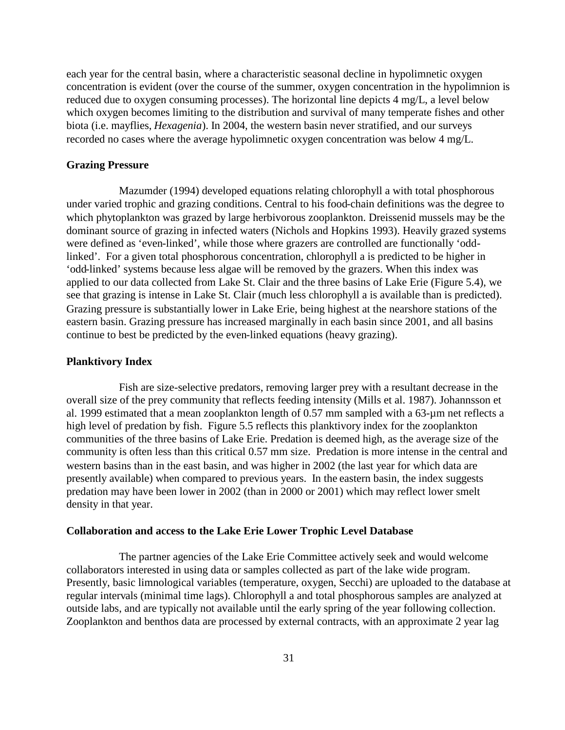each year for the central basin, where a characteristic seasonal decline in hypolimnetic oxygen concentration is evident (over the course of the summer, oxygen concentration in the hypolimnion is reduced due to oxygen consuming processes). The horizontal line depicts 4 mg/L, a level below which oxygen becomes limiting to the distribution and survival of many temperate fishes and other biota (i.e. mayflies, *Hexagenia*). In 2004, the western basin never stratified, and our surveys recorded no cases where the average hypolimnetic oxygen concentration was below 4 mg/L.

#### **Grazing Pressure**

Mazumder (1994) developed equations relating chlorophyll a with total phosphorous under varied trophic and grazing conditions. Central to his food-chain definitions was the degree to which phytoplankton was grazed by large herbivorous zooplankton. Dreissenid mussels may be the dominant source of grazing in infected waters (Nichols and Hopkins 1993). Heavily grazed systems were defined as 'even-linked', while those where grazers are controlled are functionally 'oddlinked'. For a given total phosphorous concentration, chlorophyll a is predicted to be higher in 'odd-linked' systems because less algae will be removed by the grazers. When this index was applied to our data collected from Lake St. Clair and the three basins of Lake Erie (Figure 5.4), we see that grazing is intense in Lake St. Clair (much less chlorophyll a is available than is predicted). Grazing pressure is substantially lower in Lake Erie, being highest at the nearshore stations of the eastern basin. Grazing pressure has increased marginally in each basin since 2001, and all basins continue to best be predicted by the even-linked equations (heavy grazing).

#### **Planktivory Index**

Fish are size-selective predators, removing larger prey with a resultant decrease in the overall size of the prey community that reflects feeding intensity (Mills et al. 1987). Johannsson et al. 1999 estimated that a mean zooplankton length of 0.57 mm sampled with a 63-µm net reflects a high level of predation by fish. Figure 5.5 reflects this planktivory index for the zooplankton communities of the three basins of Lake Erie. Predation is deemed high, as the average size of the community is often less than this critical 0.57 mm size. Predation is more intense in the central and western basins than in the east basin, and was higher in 2002 (the last year for which data are presently available) when compared to previous years. In the eastern basin, the index suggests predation may have been lower in 2002 (than in 2000 or 2001) which may reflect lower smelt density in that year.

### **Collaboration and access to the Lake Erie Lower Trophic Level Database**

The partner agencies of the Lake Erie Committee actively seek and would welcome collaborators interested in using data or samples collected as part of the lake wide program. Presently, basic limnological variables (temperature, oxygen, Secchi) are uploaded to the database at regular intervals (minimal time lags). Chlorophyll a and total phosphorous samples are analyzed at outside labs, and are typically not available until the early spring of the year following collection. Zooplankton and benthos data are processed by external contracts, with an approximate 2 year lag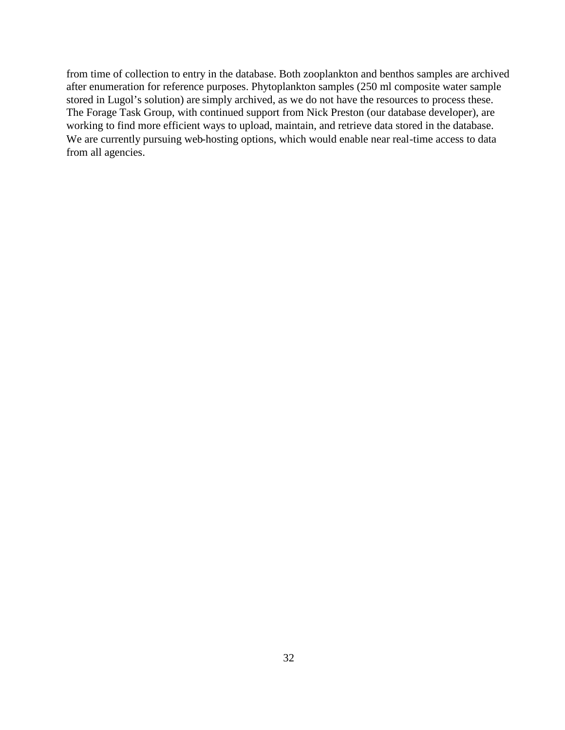from time of collection to entry in the database. Both zooplankton and benthos samples are archived after enumeration for reference purposes. Phytoplankton samples (250 ml composite water sample stored in Lugol's solution) are simply archived, as we do not have the resources to process these. The Forage Task Group, with continued support from Nick Preston (our database developer), are working to find more efficient ways to upload, maintain, and retrieve data stored in the database. We are currently pursuing web-hosting options, which would enable near real-time access to data from all agencies.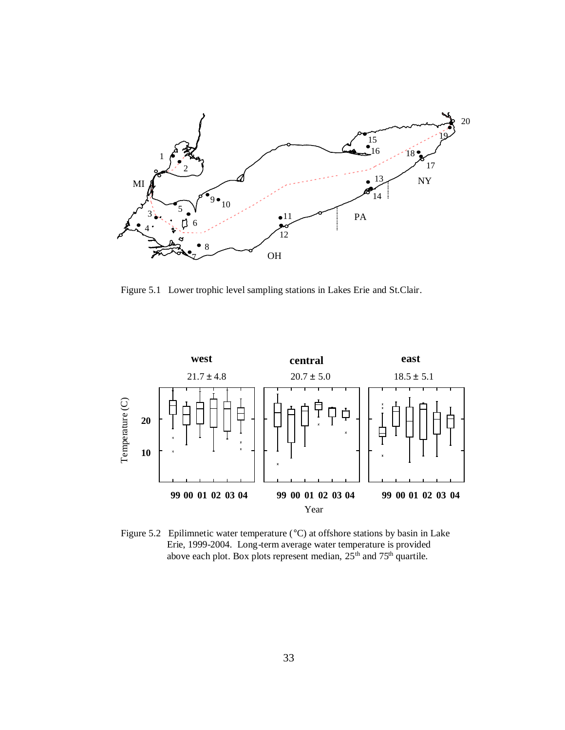

Figure 5.1 Lower trophic level sampling stations in Lakes Erie and St.Clair.



Figure 5.2 Epilimnetic water temperature (°C) at offshore stations by basin in Lake Erie, 1999-2004. Long-term average water temperature is provided above each plot. Box plots represent median,  $25<sup>th</sup>$  and  $75<sup>th</sup>$  quartile.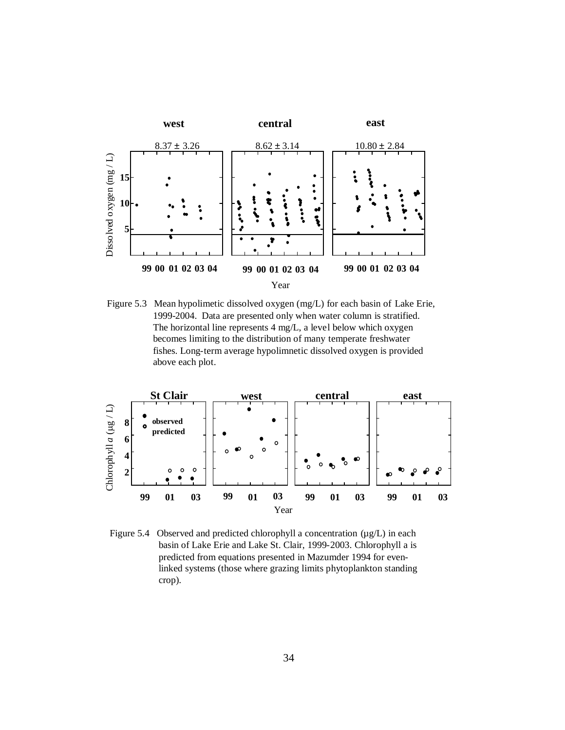

Figure 5.3 Mean hypolimetic dissolved oxygen (mg/L) for each basin of Lake Erie, 1999-2004. Data are presented only when water column is stratified. The horizontal line represents 4 mg/L, a level below which oxygen becomes limiting to the distribution of many temperate freshwater fishes. Long-term average hypolimnetic dissolved oxygen is provided above each plot.



Figure 5.4 Observed and predicted chlorophyll a concentration ( $\mu$ g/L) in each basin of Lake Erie and Lake St. Clair, 1999-2003. Chlorophyll a is predicted from equations presented in Mazumder 1994 for evenlinked systems (those where grazing limits phytoplankton standing crop).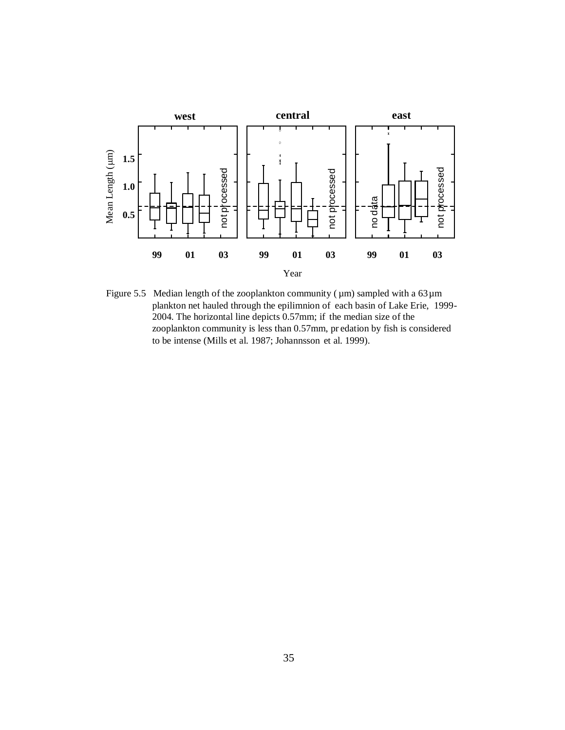

Figure 5.5 Median length of the zooplankton community ( $\mu$ m) sampled with a 63 $\mu$ m plankton net hauled through the epilimnion of each basin of Lake Erie, 1999- 2004. The horizontal line depicts 0.57mm; if the median size of the zooplankton community is less than 0.57mm, pr edation by fish is considered to be intense (Mills et al. 1987; Johannsson et al. 1999).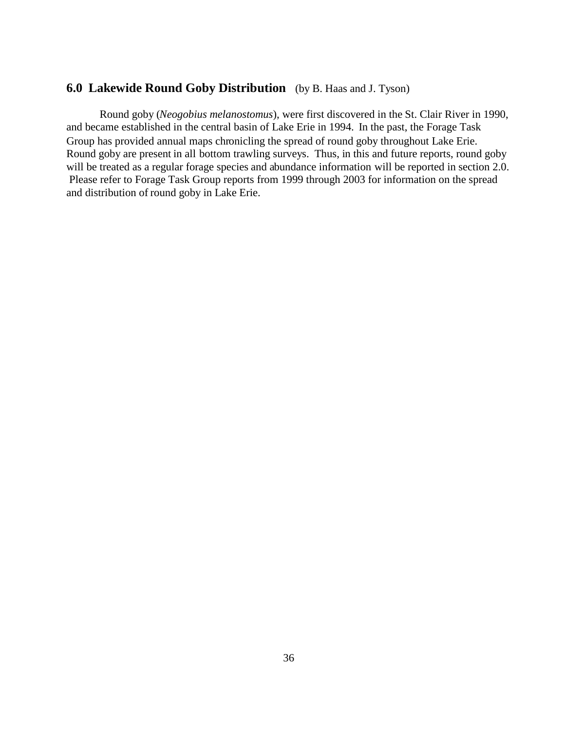## **6.0 Lakewide Round Goby Distribution** (by B. Haas and J. Tyson)

Round goby (*Neogobius melanostomus*), were first discovered in the St. Clair River in 1990, and became established in the central basin of Lake Erie in 1994. In the past, the Forage Task Group has provided annual maps chronicling the spread of round goby throughout Lake Erie. Round goby are present in all bottom trawling surveys. Thus, in this and future reports, round goby will be treated as a regular forage species and abundance information will be reported in section 2.0. Please refer to Forage Task Group reports from 1999 through 2003 for information on the spread and distribution of round goby in Lake Erie.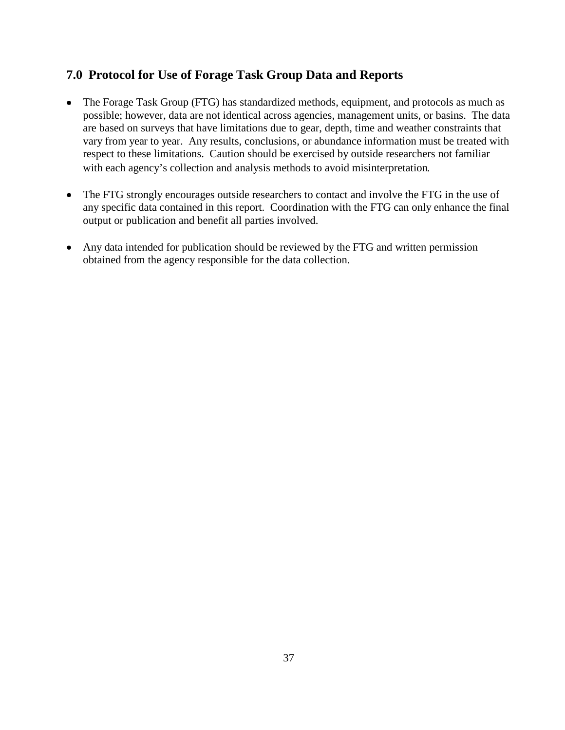# **7.0 Protocol for Use of Forage Task Group Data and Reports**

- The Forage Task Group (FTG) has standardized methods, equipment, and protocols as much as possible; however, data are not identical across agencies, management units, or basins. The data are based on surveys that have limitations due to gear, depth, time and weather constraints that vary from year to year. Any results, conclusions, or abundance information must be treated with respect to these limitations. Caution should be exercised by outside researchers not familiar with each agency's collection and analysis methods to avoid misinterpretation.
- The FTG strongly encourages outside researchers to contact and involve the FTG in the use of any specific data contained in this report. Coordination with the FTG can only enhance the final output or publication and benefit all parties involved.
- Any data intended for publication should be reviewed by the FTG and written permission obtained from the agency responsible for the data collection.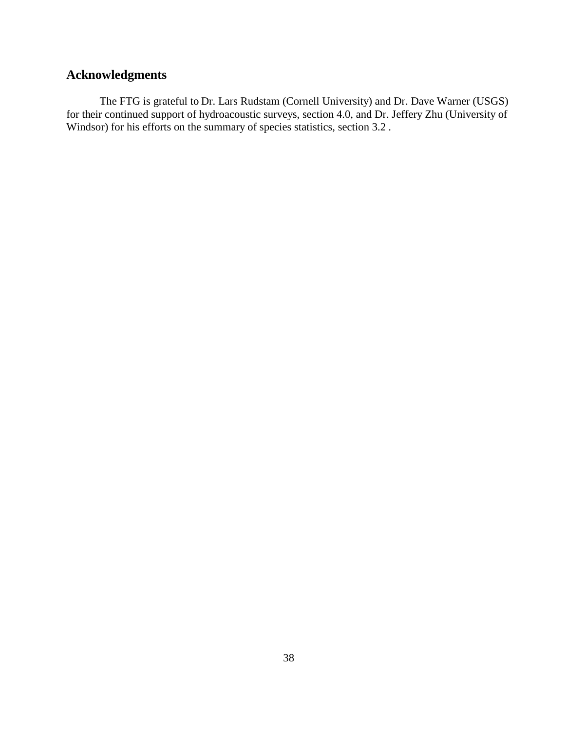# **Acknowledgments**

The FTG is grateful to Dr. Lars Rudstam (Cornell University) and Dr. Dave Warner (USGS) for their continued support of hydroacoustic surveys, section 4.0, and Dr. Jeffery Zhu (University of Windsor) for his efforts on the summary of species statistics, section 3.2.